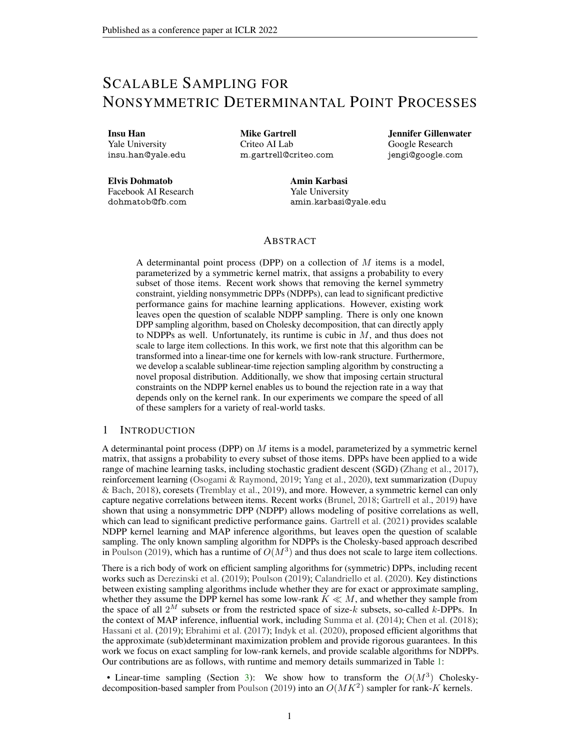# SCALABLE SAMPLING FOR NONSYMMETRIC DETERMINANTAL POINT PROCESSES

Insu Han Yale University insu.han@yale.edu Mike Gartrell Criteo AI Lab m.gartrell@criteo.com

Jennifer Gillenwater Google Research jengi@google.com

Elvis Dohmatob Facebook AI Research dohmatob@fb.com

Amin Karbasi Yale University amin.karbasi@yale.edu

# ABSTRACT

A determinantal point process (DPP) on a collection of  $M$  items is a model, parameterized by a symmetric kernel matrix, that assigns a probability to every subset of those items. Recent work shows that removing the kernel symmetry constraint, yielding nonsymmetric DPPs (NDPPs), can lead to significant predictive performance gains for machine learning applications. However, existing work leaves open the question of scalable NDPP sampling. There is only one known DPP sampling algorithm, based on Cholesky decomposition, that can directly apply to NDPPs as well. Unfortunately, its runtime is cubic in  $M$ , and thus does not scale to large item collections. In this work, we first note that this algorithm can be transformed into a linear-time one for kernels with low-rank structure. Furthermore, we develop a scalable sublinear-time rejection sampling algorithm by constructing a novel proposal distribution. Additionally, we show that imposing certain structural constraints on the NDPP kernel enables us to bound the rejection rate in a way that depends only on the kernel rank. In our experiments we compare the speed of all of these samplers for a variety of real-world tasks.

### 1 INTRODUCTION

A determinantal point process (DPP) on  $M$  items is a model, parameterized by a symmetric kernel matrix, that assigns a probability to every subset of those items. DPPs have been applied to a wide range of machine learning tasks, including stochastic gradient descent (SGD) [\(Zhang et al.,](#page-11-0) [2017\)](#page-11-0), reinforcement learning [\(Osogami & Raymond,](#page-10-0) [2019;](#page-10-0) [Yang et al.,](#page-11-1) [2020\)](#page-11-1), text summarization [\(Dupuy](#page-9-0) [& Bach,](#page-9-0) [2018\)](#page-9-0), coresets [\(Tremblay et al.,](#page-10-1) [2019\)](#page-10-1), and more. However, a symmetric kernel can only capture negative correlations between items. Recent works [\(Brunel,](#page-9-1) [2018;](#page-9-1) [Gartrell et al.,](#page-10-2) [2019\)](#page-10-2) have shown that using a nonsymmetric DPP (NDPP) allows modeling of positive correlations as well, which can lead to significant predictive performance gains. [Gartrell et al.](#page-10-3) [\(2021\)](#page-10-3) provides scalable NDPP kernel learning and MAP inference algorithms, but leaves open the question of scalable sampling. The only known sampling algorithm for NDPPs is the Cholesky-based approach described in [Poulson](#page-10-4) [\(2019\)](#page-10-4), which has a runtime of  $O(M^3)$  and thus does not scale to large item collections.

There is a rich body of work on efficient sampling algorithms for (symmetric) DPPs, including recent works such as [Derezinski et al.](#page-9-2) [\(2019\)](#page-9-2); [Poulson](#page-10-4) [\(2019\)](#page-10-4); [Calandriello et al.](#page-9-3) [\(2020\)](#page-9-3). Key distinctions between existing sampling algorithms include whether they are for exact or approximate sampling, whether they assume the DPP kernel has some low-rank  $K \ll M$ , and whether they sample from the space of all  $2^M$  subsets or from the restricted space of size-k subsets, so-called k-DPPs. In the context of MAP inference, influential work, including [Summa et al.](#page-10-5) [\(2014\)](#page-10-5); [Chen et al.](#page-9-4) [\(2018\)](#page-9-4); [Hassani et al.](#page-10-6) [\(2019\)](#page-10-6); [Ebrahimi et al.](#page-9-5) [\(2017\)](#page-9-5); [Indyk et al.](#page-10-7) [\(2020\)](#page-10-7), proposed efficient algorithms that the approximate (sub)determinant maximization problem and provide rigorous guarantees. In this work we focus on exact sampling for low-rank kernels, and provide scalable algorithms for NDPPs. Our contributions are as follows, with runtime and memory details summarized in Table [1:](#page-1-0)

• Linear-time sampling (Section [3\)](#page-2-0): We show how to transform the  $O(M^3)$  Cholesky-decomposition-based sampler from [Poulson](#page-10-4) [\(2019\)](#page-10-4) into an  $O(MK^2)$  sampler for rank-K kernels.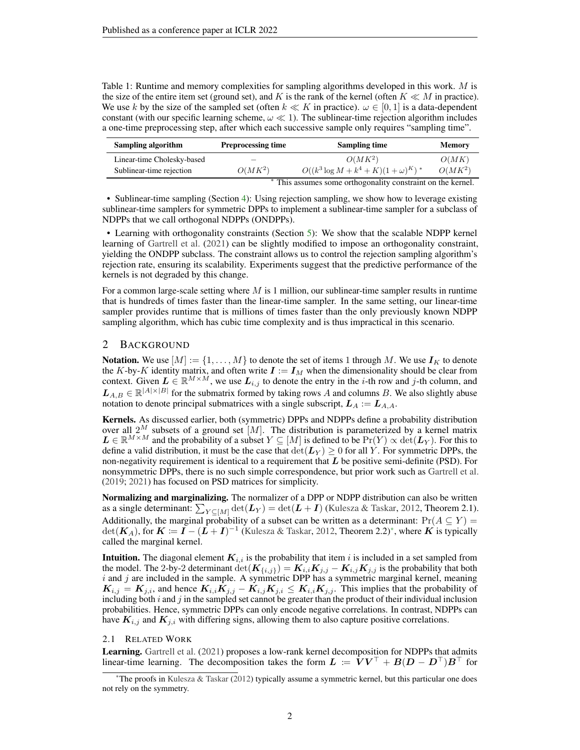<span id="page-1-0"></span>Table 1: Runtime and memory complexities for sampling algorithms developed in this work. M is the size of the entire item set (ground set), and K is the rank of the kernel (often  $K \ll M$  in practice). We use k by the size of the sampled set (often  $k \ll K$  in practice).  $\omega \in [0,1]$  is a data-dependent constant (with our specific learning scheme,  $\omega \ll 1$ ). The sublinear-time rejection algorithm includes a one-time preprocessing step, after which each successive sample only requires "sampling time".

| Sampling algorithm                                          | <b>Preprocessing time</b> | Sampling time                                            | <b>Memory</b>      |  |
|-------------------------------------------------------------|---------------------------|----------------------------------------------------------|--------------------|--|
| Linear-time Cholesky-based<br>Sublinear-time rejection      | $O(MK^2)$                 | $O(MK^2)$<br>$O((k^3 \log M + k^4 + K)(1 + \omega)^K)^*$ | O(MK)<br>$O(MK^2)$ |  |
| * This assumes some orthogonality constraint on the kernel. |                           |                                                          |                    |  |

• Sublinear-time sampling (Section [4\)](#page-3-0): Using rejection sampling, we show how to leverage existing sublinear-time samplers for symmetric DPPs to implement a sublinear-time sampler for a subclass of NDPPs that we call orthogonal NDPPs (ONDPPs).

• Learning with orthogonality constraints (Section [5\)](#page-6-0): We show that the scalable NDPP kernel learning of [Gartrell et al.](#page-10-3) [\(2021\)](#page-10-3) can be slightly modified to impose an orthogonality constraint, yielding the ONDPP subclass. The constraint allows us to control the rejection sampling algorithm's rejection rate, ensuring its scalability. Experiments suggest that the predictive performance of the kernels is not degraded by this change.

For a common large-scale setting where  $M$  is 1 million, our sublinear-time sampler results in runtime that is hundreds of times faster than the linear-time sampler. In the same setting, our linear-time sampler provides runtime that is millions of times faster than the only previously known NDPP sampling algorithm, which has cubic time complexity and is thus impractical in this scenario.

# 2 BACKGROUND

**Notation.** We use  $[M] := \{1, \ldots, M\}$  to denote the set of items 1 through M. We use  $I_K$  to denote the K-by-K identity matrix, and often write  $I := I_M$  when the dimensionality should be clear from context. Given  $L \in \mathbb{R}^{\tilde{M} \times \tilde{M}}$ , we use  $L_{i,j}$  to denote the entry in the *i*-th row and *j*-th column, and  $L_{A,B} \in \mathbb{R}^{|A| \times |B|}$  for the submatrix formed by taking rows A and columns B. We also slightly abuse notation to denote principal submatrices with a single subscript,  $L_A := L_{A,A}$ .

Kernels. As discussed earlier, both (symmetric) DPPs and NDPPs define a probability distribution over all  $2^M$  subsets of a ground set  $[M]$ . The distribution is parameterized by a kernel matrix  $L \in \mathbb{R}^{M \times M}$  and the probability of a subset  $Y \subseteq [M]$  is defined to be  $Pr(Y) \propto det(L_Y)$ . For this to define a valid distribution, it must be the case that  $\det(L_Y) \geq 0$  for all Y. For symmetric DPPs, the non-negativity requirement is identical to a requirement that  $L$  be positive semi-definite (PSD). For nonsymmetric DPPs, there is no such simple correspondence, but prior work such as [Gartrell et al.](#page-10-2) [\(2019;](#page-10-2) [2021\)](#page-10-3) has focused on PSD matrices for simplicity.

Normalizing and marginalizing. The normalizer of a DPP or NDPP distribution can also be written as a single determinant:  $\sum_{Y \subseteq [M]} \det(L_Y) = \det(L + I)$  [\(Kulesza & Taskar,](#page-10-8) [2012,](#page-10-8) Theorem 2.1). Additionally, the marginal probability of a subset can be written as a determinant:  $Pr(A \subseteq Y)$  =  $\det(K_A)$ , for  $K := \tilde{I} - (\tilde{L} + I)^{-1}$  [\(Kulesza & Taskar,](#page-10-8) [2012,](#page-10-8) Theorem 2.2)[\\*](#page-1-1), where  $K$  is typically called the marginal kernel.

**Intuition.** The diagonal element  $K_{i,i}$  is the probability that item i is included in a set sampled from the model. The 2-by-2 determinant  $\det(K_{\{i,j\}}) = K_{i,j}K_{j,j} - K_{i,j}K_{j,j}$  is the probability that both i and j are included in the sample. A symmetric DPP has a symmetric marginal kernel, meaning  $K_{i,j} = K_{j,i}$ , and hence  $K_{i,i}\dot{K}_{j,j} - \dot{K}_{i,j}K_{j,i} \leq K_{i,i}K_{j,j}$ . This implies that the probability of including both i and j in the sampled set cannot be greater than the product of their individual inclusion probabilities. Hence, symmetric DPPs can only encode negative correlations. In contrast, NDPPs can have  $K_{i,j}$  and  $K_{j,i}$  with differing signs, allowing them to also capture positive correlations.

### <span id="page-1-2"></span>2.1 RELATED WORK

Learning. [Gartrell et al.](#page-10-3) [\(2021\)](#page-10-3) proposes a low-rank kernel decomposition for NDPPs that admits linear-time learning. The decomposition takes the form  $L := \overline{V}V^{\top} + B(D - D^{\top})B^{\top}$  for

<span id="page-1-1"></span><sup>\*</sup>The proofs in [Kulesza & Taskar](#page-10-8) [\(2012\)](#page-10-8) typically assume a symmetric kernel, but this particular one does not rely on the symmetry.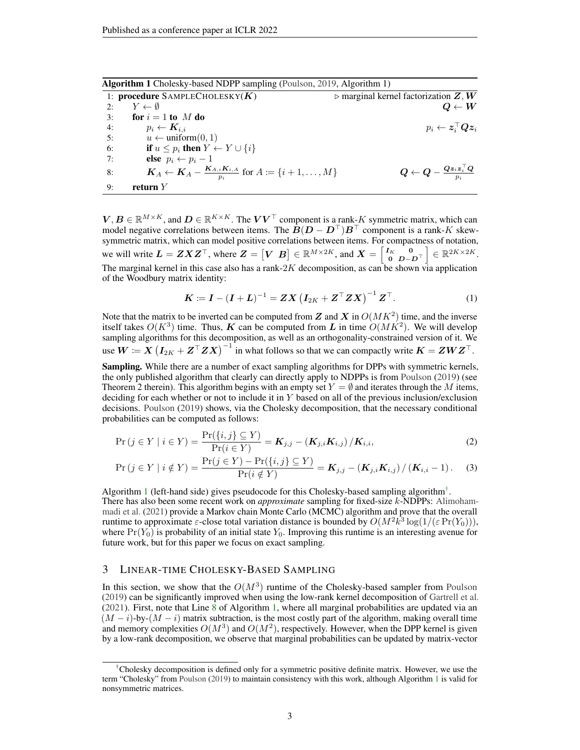<span id="page-2-1"></span>Algorithm 1 Cholesky-based NDPP sampling [\(Poulson,](#page-10-4) [2019,](#page-10-4) Algorithm 1)

|    | 1: procedure SAMPLECHOLESKY( $K$ )                                                                                       | $\triangleright$ marginal kernel factorization Z, W                                                                        |
|----|--------------------------------------------------------------------------------------------------------------------------|----------------------------------------------------------------------------------------------------------------------------|
| 2: | $Y \leftarrow \emptyset$                                                                                                 | $\boldsymbol{O} \leftarrow \boldsymbol{W}$                                                                                 |
| 3: | for $i = 1$ to M do                                                                                                      |                                                                                                                            |
| 4: | $p_i \leftarrow K_{i,i}$                                                                                                 | $p_i \leftarrow \boldsymbol{z}_i^\top \boldsymbol{Q} \boldsymbol{z}_i$                                                     |
| 5: | $u \leftarrow \text{uniform}(0, 1)$                                                                                      |                                                                                                                            |
| 6: | <b>if</b> $u \leq p_i$ then $Y \leftarrow Y \cup \{i\}$                                                                  |                                                                                                                            |
| 7: | else $p_i \leftarrow p_i - 1$                                                                                            |                                                                                                                            |
| 8: | $\mathbf{K}_A \leftarrow \mathbf{K}_A - \frac{\mathbf{K}_{A,i}\mathbf{K}_{i,A}}{p_i}$ for $A \coloneqq \{i+1,\ldots,M\}$ | $\boldsymbol{Q} \leftarrow \boldsymbol{Q} - \frac{\boldsymbol{Q}\boldsymbol{z}_i\boldsymbol{z}_i^\top\boldsymbol{Q}}{p_z}$ |
| 9: | return $Y$                                                                                                               |                                                                                                                            |

<span id="page-2-3"></span> $V, B \in \mathbb{R}^{M \times K}$ , and  $D \in \mathbb{R}^{K \times K}$ . The  $VV^{\top}$  component is a rank-K symmetric matrix, which can model negative correlations between items. The  $B(D - D<sup>T</sup>)B<sup>T</sup>$  component is a rank-K skewsymmetric matrix, which can model positive correlations between items. For compactness of notation, we will write  $L = ZXZ^\top$ , where  $Z = \begin{bmatrix} V & B \end{bmatrix} \in \mathbb{R}^{M \times 2K}$ , and  $X = \begin{bmatrix} I_K & 0 \\ 0 & D - D^\top \end{bmatrix}$  $\Big] \in \mathbb{R}^{2K \times 2K}.$ The marginal kernel in this case also has a rank- $2K$  decomposition, as can be shown via application of the Woodbury matrix identity:

<span id="page-2-4"></span>
$$
\boldsymbol{K} \coloneqq \boldsymbol{I} - (\boldsymbol{I} + \boldsymbol{L})^{-1} = \boldsymbol{Z} \boldsymbol{X} \left( \boldsymbol{I}_{2K} + \boldsymbol{Z}^{\top} \boldsymbol{Z} \boldsymbol{X} \right)^{-1} \boldsymbol{Z}^{\top}.
$$
 (1)

Note that the matrix to be inverted can be computed from  $\mathbf Z$  and  $\mathbf X$  in  $O(MK^2)$  time, and the inverse itself takes  $O(K^3)$  time. Thus, K can be computed from L in time  $O(MK^2)$ . We will develop sampling algorithms for this decomposition, as well as an orthogonality-constrained version of it. We use  $W = X (I_{2K} + Z^{\top}ZX)^{-1}$  in what follows so that we can compactly write  $K = ZWZ^{\top}$ .

Sampling. While there are a number of exact sampling algorithms for DPPs with symmetric kernels, the only published algorithm that clearly can directly apply to NDPPs is from [Poulson](#page-10-4) [\(2019\)](#page-10-4) (see Theorem 2 therein). This algorithm begins with an empty set  $Y = \emptyset$  and iterates through the M items, deciding for each whether or not to include it in Y based on all of the previous inclusion/exclusion decisions. [Poulson](#page-10-4) [\(2019\)](#page-10-4) shows, via the Cholesky decomposition, that the necessary conditional probabilities can be computed as follows:

$$
\Pr\left(j \in Y \mid i \in Y\right) = \frac{\Pr(\{i, j\} \subseteq Y)}{\Pr(i \in Y)} = \mathbf{K}_{j,j} - (\mathbf{K}_{j,i}\mathbf{K}_{i,j}) / \mathbf{K}_{i,i},\tag{2}
$$

$$
\Pr(j \in Y \mid i \notin Y) = \frac{\Pr(j \in Y) - \Pr(\{i, j\} \subseteq Y)}{\Pr(i \notin Y)} = K_{j,j} - (K_{j,i}K_{i,j})/(K_{i,i} - 1). \tag{3}
$$

Algorithm [1](#page-2-1) (left-hand side) gives pseudocode for this Cholesky-based sampling algorithm<sup>[†](#page-2-2)</sup>. There has also been some recent work on *approximate* sampling for fixed-size k-NDPPs: [Alimoham](#page-9-6)[madi et al.](#page-9-6) [\(2021\)](#page-9-6) provide a Markov chain Monte Carlo (MCMC) algorithm and prove that the overall runtime to approximate  $\varepsilon$ -close total variation distance is bounded by  $O(M^2k^3 \log(1/(\varepsilon \Pr(Y_0))),$ where  $Pr(Y_0)$  is probability of an initial state  $Y_0$ . Improving this runtime is an interesting avenue for future work, but for this paper we focus on exact sampling.

# <span id="page-2-0"></span>3 LINEAR-TIME CHOLESKY-BASED SAMPLING

In this section, we show that the  $O(M^3)$  runtime of the Cholesky-based sampler from [Poulson](#page-10-4) [\(2019\)](#page-10-4) can be significantly improved when using the low-rank kernel decomposition of [Gartrell et al.](#page-10-3) [\(2021\)](#page-10-3). First, note that Line [8](#page-2-3) of Algorithm [1,](#page-2-1) where all marginal probabilities are updated via an  $(M - i)$ -by- $(M - i)$  matrix subtraction, is the most costly part of the algorithm, making overall time and memory complexities  $O(M^3)$  and  $O(M^2)$ , respectively. However, when the DPP kernel is given by a low-rank decomposition, we observe that marginal probabilities can be updated by matrix-vector

<span id="page-2-2"></span><sup>†</sup>Cholesky decomposition is defined only for a symmetric positive definite matrix. However, we use the term "Cholesky" from [Poulson](#page-10-4) [\(2019\)](#page-10-4) to maintain consistency with this work, although Algorithm [1](#page-2-1) is valid for nonsymmetric matrices.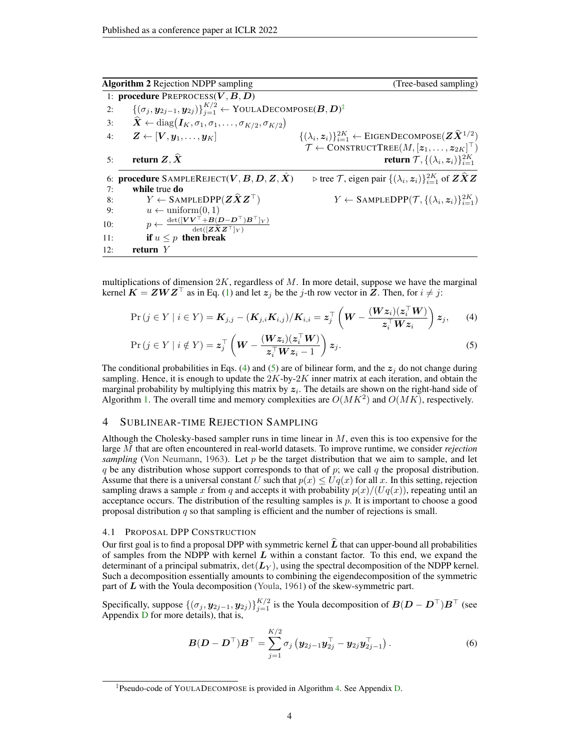<span id="page-3-4"></span>

|     | <b>Algorithm 2</b> Rejection NDPP sampling                                                                                                                                                                                    | (Tree-based sampling)                                                                              |
|-----|-------------------------------------------------------------------------------------------------------------------------------------------------------------------------------------------------------------------------------|----------------------------------------------------------------------------------------------------|
|     | 1: <b>procedure</b> PREPROCESS $(V, B, D)$                                                                                                                                                                                    |                                                                                                    |
| 2:  | $\{(\sigma_i, \mathbf{y}_{2i-1}, \mathbf{y}_{2i})\}_{i=1}^{K/2} \leftarrow \text{YoulADECOMPOSE}(\mathbf{B}, \mathbf{D})^{\ddagger}$                                                                                          |                                                                                                    |
| 3:  | $\hat{X} \leftarrow \text{diag}(\boldsymbol{I}_K, \sigma_1, \sigma_1, \ldots, \sigma_{K/2}, \sigma_{K/2})$                                                                                                                    |                                                                                                    |
| 4:  | $\boldsymbol{Z} \leftarrow [\boldsymbol{V}, \boldsymbol{y}_1, \dots, \boldsymbol{y}_K]$                                                                                                                                       | $\{(\lambda_i, z_i)\}_{i=1}^{2K} \leftarrow$ EIGENDECOMPOSE $(\mathbf{Z}\hat{\mathbf{X}}^{1/2})$   |
|     |                                                                                                                                                                                                                               | $\mathcal{T} \leftarrow \text{CONTRUCTTREE}(M,[\boldsymbol{z}_1,\ldots,\boldsymbol{z}_{2K}]^\top)$ |
| 5:  | return $Z, \hat{X}$                                                                                                                                                                                                           | return $\mathcal{T}, \{(\lambda_i, z_i)\}_{i=1}^{2K}$                                              |
| 6:  | procedure SAMPLEREJECT( $V, B, D, Z, \overline{X}$ )                                                                                                                                                                          | $\triangleright$ tree T, eigen pair $\{(\lambda_i, z_i)\}_{i=1}^{2K}$ of $\overline{ZXZ}$          |
| 7:  | while true do                                                                                                                                                                                                                 |                                                                                                    |
| 8:  | $Y \leftarrow$ SAMPLEDPP $(Z\hat{X}Z^{\top})$                                                                                                                                                                                 | Y $\leftarrow$ SAMPLEDPP $(\mathcal{T}, \{(\lambda_i, z_i)\}_{i=1}^{2K})$                          |
| 9:  | $u \leftarrow \text{uniform}(0, 1)$                                                                                                                                                                                           |                                                                                                    |
| 10: | $p \leftarrow \frac{\text{det}([\boldsymbol{V} \boldsymbol{V}^\top + \boldsymbol{B} (\boldsymbol{D} - \boldsymbol{D}^\top) \boldsymbol{B}^\top]_Y)}{\text{det}([\boldsymbol{Z} \boldsymbol{\hat{X}} \boldsymbol{Z}^\top]_Y)}$ |                                                                                                    |
| 11: | if $u \leq p$ then break                                                                                                                                                                                                      |                                                                                                    |
| 12: | return $Y$                                                                                                                                                                                                                    |                                                                                                    |

multiplications of dimension  $2K$ , regardless of M. In more detail, suppose we have the marginal kernel  $K = ZWZ^{\top}$  as in Eq. [\(1\)](#page-2-4) and let  $z_i$  be the j-th row vector in Z. Then, for  $i \neq j$ :

<span id="page-3-2"></span>
$$
\Pr\left(j \in Y \mid i \in Y\right) = \mathbf{K}_{j,j} - (\mathbf{K}_{j,i}\mathbf{K}_{i,j})/\mathbf{K}_{i,i} = \mathbf{z}_j^\top \left(\mathbf{W} - \frac{(\mathbf{W}\mathbf{z}_i)(\mathbf{z}_i^\top \mathbf{W})}{\mathbf{z}_i^\top \mathbf{W} \mathbf{z}_i}\right) \mathbf{z}_j,\qquad(4)
$$

<span id="page-3-3"></span>
$$
\Pr\left(j \in Y \mid i \notin Y\right) = \mathbf{z}_j^{\top} \left(\mathbf{W} - \frac{(\mathbf{W}\mathbf{z}_i)(\mathbf{z}_i^{\top}\mathbf{W})}{\mathbf{z}_i^{\top}\mathbf{W}\mathbf{z}_i - 1}\right) \mathbf{z}_j. \tag{5}
$$

The conditional probabilities in Eqs. [\(4\)](#page-3-2) and [\(5\)](#page-3-3) are of bilinear form, and the  $z_j$  do not change during sampling. Hence, it is enough to update the  $2K$ -by- $2K$  inner matrix at each iteration, and obtain the marginal probability by multiplying this matrix by  $z_i$ . The details are shown on the right-hand side of Algorithm [1.](#page-2-1) The overall time and memory complexities are  $O(MK^2)$  and  $O(MK)$ , respectively.

# <span id="page-3-0"></span>4 SUBLINEAR-TIME REJECTION SAMPLING

Although the Cholesky-based sampler runs in time linear in  $M$ , even this is too expensive for the large M that are often encountered in real-world datasets. To improve runtime, we consider *rejection sampling* [\(Von Neumann,](#page-11-2) [1963\)](#page-11-2). Let  $p$  be the target distribution that we aim to sample, and let q be any distribution whose support corresponds to that of  $p$ ; we call q the proposal distribution. Assume that there is a universal constant U such that  $p(x) \leq Uq(x)$  for all x. In this setting, rejection sampling draws a sample x from q and accepts it with probability  $p(x)/(Uq(x))$ , repeating until an acceptance occurs. The distribution of the resulting samples is  $p$ . It is important to choose a good proposal distribution  $q$  so that sampling is efficient and the number of rejections is small.

### <span id="page-3-5"></span>4.1 PROPOSAL DPP CONSTRUCTION

Our first goal is to find a proposal DPP with symmetric kernel  $\hat{L}$  that can upper-bound all probabilities of samples from the NDPP with kernel  $L$  within a constant factor. To this end, we expand the determinant of a principal submatrix,  $\det(L_Y)$ , using the spectral decomposition of the NDPP kernel. Such a decomposition essentially amounts to combining the eigendecomposition of the symmetric part of  $\bf{L}$  with the Youla decomposition [\(Youla,](#page-11-3) [1961\)](#page-11-3) of the skew-symmetric part.

Specifically, suppose  $\{(\sigma_j, y_{2j-1}, y_{2j})\}_{j=1}^{K/2}$  is the Youla decomposition of  $B(D - D<sup>\top</sup>)B<sup>\top</sup>$  (see Appendix [D](#page-14-0) for more details), that is,

$$
\boldsymbol{B}(\boldsymbol{D} - \boldsymbol{D}^{\top})\boldsymbol{B}^{\top} = \sum_{j=1}^{K/2} \sigma_j \left( \boldsymbol{y}_{2j-1} \boldsymbol{y}_{2j}^{\top} - \boldsymbol{y}_{2j} \boldsymbol{y}_{2j-1}^{\top} \right). \tag{6}
$$

<span id="page-3-1"></span><sup>‡</sup> Pseudo-code of YOULADECOMPOSE is provided in Algorithm [4.](#page-14-1) See Appendix [D.](#page-14-0)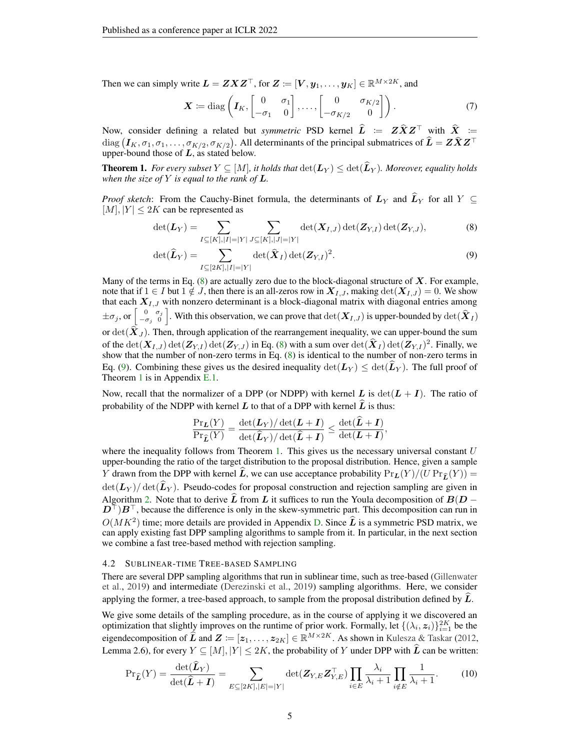Then we can simply write  $L = ZXZ^{\top}$ , for  $Z := [V, y_1, \dots, y_K] \in \mathbb{R}^{M \times 2K}$ , and

<span id="page-4-0"></span>
$$
\boldsymbol{X} \coloneqq \text{diag}\left(\boldsymbol{I}_K, \begin{bmatrix} 0 & \sigma_1 \\ -\sigma_1 & 0 \end{bmatrix}, \dots, \begin{bmatrix} 0 & \sigma_{K/2} \\ -\sigma_{K/2} & 0 \end{bmatrix}\right). \tag{7}
$$

Now, consider defining a related but *symmetric* PSD kernel  $\hat{L} = Z\hat{X}Z^{\top}$  with  $\hat{X} =$ Now, consider defining a related but *symmetric* PSD kernel  $L = Z X Z^{\dagger}$  with  $X :=$ <br>diag  $(I_K, \sigma_1, \sigma_1, \ldots, \sigma_{K/2}, \sigma_{K/2})$ . All determinants of the principal submatrices of  $\hat{L} = Z \hat{X} Z^{\top}$ upper-bound those of  $L$ , as stated below.

<span id="page-4-2"></span>**Theorem 1.** For every subset  $Y \subseteq [M]$ , it holds that  $\det(L_Y) \leq \det(\widehat{L}_Y)$ . Moreover, equality holds *when the size of* Y *is equal to the rank of* L*.*

*Proof sketch*: From the Cauchy-Binet formula, the determinants of  $L_Y$  and  $\tilde{L}_Y$  for all  $Y \subseteq$  $[M], |Y| \leq 2K$  can be represented as

$$
\det(\mathbf{L}_Y) = \sum_{I \subseteq [K], |I| = |Y|} \sum_{J \subseteq [K], |J| = |Y|} \det(\mathbf{X}_{I,J}) \det(\mathbf{Z}_{Y,I}) \det(\mathbf{Z}_{Y,J}), \tag{8}
$$

<span id="page-4-1"></span>
$$
\det(\widehat{\boldsymbol{L}}_{Y}) = \sum_{I \subseteq [2K], |I| = |Y|} \det(\widehat{\boldsymbol{X}}_{I}) \det(\boldsymbol{Z}_{Y,I})^{2}.
$$
\n(9)

Many of the terms in Eq.  $(8)$  are actually zero due to the block-diagonal structure of  $X$ . For example, note that if  $1 \in I$  but  $1 \notin J$ , then there is an all-zeros row in  $X_{I,J}$ , making  $\det(X_{I,J}) = 0$ . We show that each  $X_{I,J}$  with nonzero determinant is a block-diagonal matrix with diagonal entries among  $\pm \sigma_j$ , or  $\begin{bmatrix} 0 & \sigma_j \\ -\sigma_j & 0 \end{bmatrix}$ . With this observation, we can prove that  $\det(\mathbf{X}_{I,J})$  is upper-bounded by  $\det(\hat{\mathbf{X}}_I)$  $\sum_{j}$ ,  $\sum_{j}$   $\sum_{j}$   $\sum_{j}$  or  $\left[\frac{1}{\sigma_j}$  or det $(\hat{\boldsymbol{X}}_j)$ . Then, through application of the rearrangement inequality, we can upper-bound the sum or det( $X_J$ ). Then, through application of the rearrangement inequality, we can upper-bound the sum of the det( $X_{I,J}$ ) det( $Z_{Y,I}$ ) det( $Z_{Y,J}$ ) in Eq. [\(8\)](#page-4-0) with a sum over det( $\hat{X}_I$ ) det( $Z_{Y,I}$ )<sup>2</sup>. Finally, we show that the number of non-zero terms in Eq. [\(8\)](#page-4-0) is identical to the number of non-zero terms in Eq. [\(9\)](#page-4-1). Combining these gives us the desired inequality  $\det(L_Y) \leq \det(\widehat{L}_Y)$ . The full proof of Theorem [1](#page-4-2) is in Appendix [E.1.](#page-15-0)

Now, recall that the normalizer of a DPP (or NDPP) with kernel L is  $\det(L + I)$ . The ratio of probability of the NDPP with kernel L to that of a DPP with kernel  $\hat{L}$  is thus:

$$
\frac{\Pr_{\tilde{L}}(Y)}{\Pr_{\tilde{L}}(Y)} = \frac{\det(L_Y)/\det(L + I)}{\det(\hat{L}_Y)/\det(\hat{L} + I)} \le \frac{\det(\hat{L} + I)}{\det(L + I)},
$$

where the inequality follows from Theorem [1.](#page-4-2) This gives us the necessary universal constant  $U$ upper-bounding the ratio of the target distribution to the proposal distribution. Hence, given a sample Y drawn from the DPP with kernel  $\widehat{L}$ , we can use acceptance probability  $Pr_L(Y)/(U Pr_{\widehat{L}}(Y)) =$  $\det(L_Y) / \det(\hat{L}_Y)$ . Pseudo-codes for proposal construction and rejection sampling are given in Algorithm [2.](#page-3-4) Note that to derive  $\hat{L}$  from  $L$  it suffices to run the Youla decomposition of  $B(D D^{\top}$ ) $B^{\top}$ , because the difference is only in the skew-symmetric part. This decomposition can run in  $O(MK^2)$  time; more details are provided in Appendix [D.](#page-14-0) Since  $\hat{L}$  is a symmetric PSD matrix, we can apply existing fast DPP sampling algorithms to sample from it. In particular, in the next section we combine a fast tree-based method with rejection sampling.

#### 4.2 SUBLINEAR-TIME TREE-BASED SAMPLING

There are several DPP sampling algorithms that run in sublinear time, such as tree-based [\(Gillenwater](#page-10-9) [et al.,](#page-10-9) [2019\)](#page-10-9) and intermediate [\(Derezinski et al.,](#page-9-2) [2019\)](#page-9-2) sampling algorithms. Here, we consider applying the former, a tree-based approach, to sample from the proposal distribution defined by  $L$ .

We give some details of the sampling procedure, as in the course of applying it we discovered an optimization that slightly improves on the runtime of prior work. Formally, let  $\{(\lambda_i, z_i)\}_{i=1}^{2K}$  be the eigendecomposition of  $\widehat{L}$  and  $\mathbf{Z} := [z_1, \ldots, z_{2K}] \in \mathbb{R}^{M \times 2K}$ . As shown in [Kulesza & Taskar](#page-10-8) [\(2012,](#page-10-8) Lemma 2.6), for every  $Y \subseteq [M], |Y| \leq 2K$ , the probability of Y under DPP with  $\hat{L}$  can be written:

<span id="page-4-3"></span>
$$
\Pr_{\widehat{\mathbf{L}}}(Y) = \frac{\det(\widehat{\mathbf{L}}_Y)}{\det(\widehat{\mathbf{L}} + \mathbf{I})} = \sum_{E \subseteq [2K], |E| = |Y|} \det(\mathbf{Z}_{Y,E} \mathbf{Z}_{Y,E}^\top) \prod_{i \in E} \frac{\lambda_i}{\lambda_i + 1} \prod_{i \notin E} \frac{1}{\lambda_i + 1}.
$$
 (10)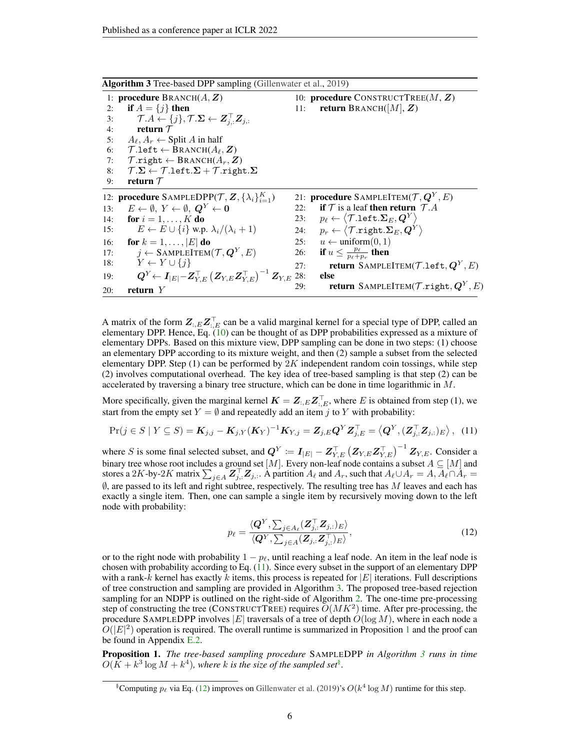| <b>Algorithm 3</b> Tree-based DPP sampling (Gillenwater et al., 2019) |                                                                                                                                                                                           |                                             |                                                                                                      |  |  |  |  |
|-----------------------------------------------------------------------|-------------------------------------------------------------------------------------------------------------------------------------------------------------------------------------------|---------------------------------------------|------------------------------------------------------------------------------------------------------|--|--|--|--|
| 1: <b>procedure</b> $B$ RANCH $(A, Z)$                                |                                                                                                                                                                                           | 10: <b>procedure</b> CONSTRUCTTREE(M, $Z$ ) |                                                                                                      |  |  |  |  |
| 2:                                                                    | if $A = \{j\}$ then                                                                                                                                                                       | 11:                                         | <b>return</b> BRANCH( $[M]$ , Z)                                                                     |  |  |  |  |
| 3:                                                                    | $\mathcal{T}.A \leftarrow \{j\}, \mathcal{T}.\mathbf{\Sigma} \leftarrow \bm{Z}_i^\top.\bm{Z}_{j,:}$                                                                                       |                                             |                                                                                                      |  |  |  |  |
| 4:                                                                    | return $\tau$                                                                                                                                                                             |                                             |                                                                                                      |  |  |  |  |
| 5:                                                                    | $A_\ell, A_r \leftarrow$ Split A in half                                                                                                                                                  |                                             |                                                                                                      |  |  |  |  |
| 6:                                                                    | $\mathcal{T}.\mathtt{left}\gets \mathtt{BRANCH}(A_\ell,\boldsymbol{Z})$                                                                                                                   |                                             |                                                                                                      |  |  |  |  |
| 7:                                                                    | $\mathcal{T}.\mathtt{right} \leftarrow \mathsf{BRANCH}(A_r, \mathbf{Z})$                                                                                                                  |                                             |                                                                                                      |  |  |  |  |
| 8:                                                                    | $\mathcal{T}.\Sigma \leftarrow \mathcal{T}.\mathtt{left}.\Sigma + \mathcal{T}.\mathtt{right}.\Sigma$                                                                                      |                                             |                                                                                                      |  |  |  |  |
| 9:                                                                    | return $\mathcal T$                                                                                                                                                                       |                                             |                                                                                                      |  |  |  |  |
|                                                                       | 12: <b>procedure</b> SAMPLEDPP $(\mathcal{T}, \mathbf{Z}, \{\lambda_i\}_{i=1}^K)$                                                                                                         |                                             | 21: <b>procedure</b> SAMPLEITEM $(T, Q^Y, E)$                                                        |  |  |  |  |
| 13:                                                                   | $E \leftarrow \emptyset, Y \leftarrow \emptyset, Q^Y \leftarrow 0$                                                                                                                        | 22:                                         | <b>if</b> $\mathcal T$ is a leaf <b>then return</b> $\mathcal T.A$                                   |  |  |  |  |
| 14:                                                                   | for $i=1,\ldots,K$ do                                                                                                                                                                     | 23:                                         | $p_{\ell} \leftarrow \langle \mathcal{T}.\texttt{left}.\mathbf{\Sigma}_E, \boldsymbol{Q}^{Y}\rangle$ |  |  |  |  |
|                                                                       | $E \leftarrow E \cup \{i\}$ w.p. $\lambda_i/(\lambda_i+1)$<br>15:                                                                                                                         | 24:                                         | $p_r \leftarrow \langle \mathcal{T}.\texttt{right}.\mathbf{\Sigma}_E, \boldsymbol{Q}^Y \rangle$      |  |  |  |  |
| 16:                                                                   | for $k = 1, \ldots,  E $ do                                                                                                                                                               | 25:                                         | $u \leftarrow \text{uniform}(0, 1)$                                                                  |  |  |  |  |
|                                                                       | 17: $j \leftarrow \text{SAMPLETEM}(\mathcal{T}, \mathbf{Q}^Y, E)$                                                                                                                         |                                             | 26: if $u \leq \frac{p_{\ell}}{n_{\ell}+n_{\gamma}}$ then                                            |  |  |  |  |
| 18:                                                                   | $Y \leftarrow Y \cup \{j\}$                                                                                                                                                               | 27:                                         | return SAMPLEITEM(T.1eft, $Q^Y$ , E)                                                                 |  |  |  |  |
| 19:                                                                   | $\boldsymbol{Q}^{Y} \!\leftarrow\! \boldsymbol{I}_{ E }\!\!-\!\!\boldsymbol{Z}_{Y\!,E}^{\top}\left(\boldsymbol{Z}_{Y\!,E}\boldsymbol{Z}_{Y\!,E}^{\top}\right)^{-1}\boldsymbol{Z}_{Y\!,E}$ | 28:                                         | else                                                                                                 |  |  |  |  |
| 20:                                                                   | return $Y$                                                                                                                                                                                | 29:                                         | <b>return</b> SAMPLEITEM( <i>T</i> .right, $Q^Y$ , <i>E</i> )                                        |  |  |  |  |

<span id="page-5-1"></span>Algorithm 3 Tree-based DPP sampling [\(Gillenwater et al.,](#page-10-9) [2019\)](#page-10-9)

<span id="page-5-5"></span>A matrix of the form  $Z_{:,E}Z_{:,E}^\top$  can be a valid marginal kernel for a special type of DPP, called an elementary DPP. Hence, Eq. [\(10\)](#page-4-3) can be thought of as DPP probabilities expressed as a mixture of elementary DPPs. Based on this mixture view, DPP sampling can be done in two steps: (1) choose an elementary DPP according to its mixture weight, and then (2) sample a subset from the selected elementary DPP. Step (1) can be performed by  $2K$  independent random coin tossings, while step (2) involves computational overhead. The key idea of tree-based sampling is that step (2) can be accelerated by traversing a binary tree structure, which can be done in time logarithmic in M.

More specifically, given the marginal kernel  $K = Z_{:,E} Z_{:,E}^\top$ , where E is obtained from step (1), we start from the empty set  $Y = \emptyset$  and repeatedly add an item j to Y with probability:

$$
\Pr(j \in S \mid Y \subseteq S) = \mathbf{K}_{j,j} - \mathbf{K}_{j,Y} (\mathbf{K}_Y)^{-1} \mathbf{K}_{Y,j} = \mathbf{Z}_{j,E} \mathbf{Q}^Y \mathbf{Z}_{j,E}^\top = \left\langle \mathbf{Q}^Y, (\mathbf{Z}_{j,:}^\top \mathbf{Z}_{j,:})_E \right\rangle, \tag{11}
$$

where S is some final selected subset, and  $Q^Y := I_{|E|} - Z_{Y,E}^\top (Z_{Y,E} Z_{Y,E}^\top)^{-1} Z_{Y,E}$ . Consider a binary tree whose root includes a ground set [M]. Every non-leaf node contains a subset  $A \subseteq [M]$  and stores a 2K-by-2K matrix  $\sum_{j\in A} \mathbf{Z}_{j,:}^{\top} \mathbf{Z}_{j,:}$ . A partition  $A_{\ell}$  and  $A_r$ , such that  $A_{\ell} \cup A_r = A$ ,  $A_{\ell} \cap A_r =$  $\emptyset$ , are passed to its left and right subtree, respectively. The resulting tree has  $M$  leaves and each has exactly a single item. Then, one can sample a single item by recursively moving down to the left node with probability:

<span id="page-5-4"></span><span id="page-5-0"></span>
$$
p_{\ell} = \frac{\langle \mathbf{Q}^Y, \sum_{j \in A_{\ell}} (\mathbf{Z}_{j,:}^{\top} \mathbf{Z}_{j,:})_{E} \rangle}{\langle \mathbf{Q}^Y, \sum_{j \in A} (\mathbf{Z}_{j,:} \mathbf{Z}_{j,:}^{\top})_{E} \rangle},\tag{12}
$$

or to the right node with probability  $1 - p_\ell$ , until reaching a leaf node. An item in the leaf node is chosen with probability according to Eq. [\(11\)](#page-5-0). Since every subset in the support of an elementary DPP with a rank-k kernel has exactly k items, this process is repeated for  $|E|$  iterations. Full descriptions of tree construction and sampling are provided in Algorithm [3.](#page-5-1) The proposed tree-based rejection sampling for an NDPP is outlined on the right-side of Algorithm [2.](#page-3-4) The one-time pre-processing step of constructing the tree (CONSTRUCTTREE) requires  $O(MK^2)$  time. After pre-processing, the procedure SAMPLEDPP involves  $|E|$  traversals of a tree of depth  $O(\log M)$ , where in each node a  $O(|E|^2)$  operation is required. The overall runtime is summarized in Proposition [1](#page-5-2) and the proof can be found in Appendix [E.2.](#page-17-0)

<span id="page-5-2"></span>Proposition 1. *The tree-based sampling procedure* SAMPLEDPP *in Algorithm [3](#page-5-1) runs in time*  $O(\tilde{K} + k^3 \log M + k^4)$ , where k is the size of the sampled set<sup>[§](#page-5-3)</sup>.

<span id="page-5-3"></span><sup>&</sup>lt;sup>§</sup>Computing  $p_\ell$  via Eq. [\(12\)](#page-5-4) improves on [Gillenwater et al.](#page-10-9) [\(2019\)](#page-10-9)'s  $O(k^4 \log M)$  runtime for this step.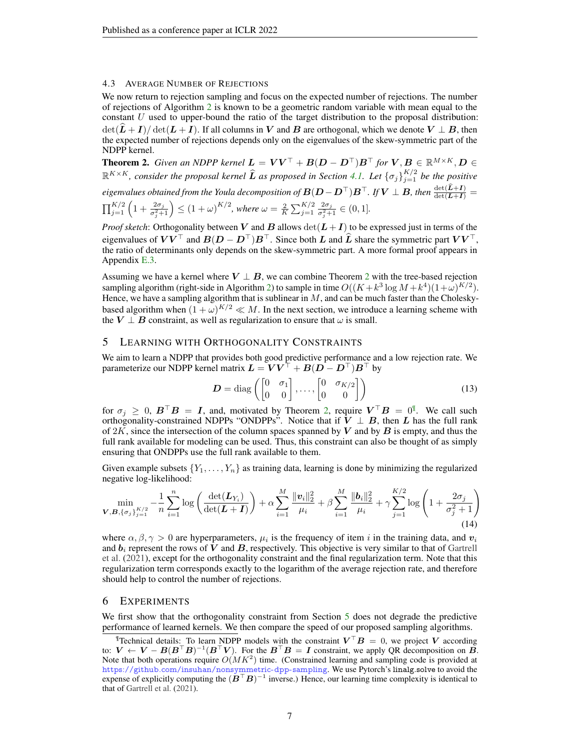#### 4.3 AVERAGE NUMBER OF REJECTIONS

We now return to rejection sampling and focus on the expected number of rejections. The number of rejections of Algorithm [2](#page-3-4) is known to be a geometric random variable with mean equal to the constant  $U$  used to upper-bound the ratio of the target distribution to the proposal distribution:  $\det(\hat{L} + I)/\det(L + I)$ . If all columns in V and B are orthogonal, which we denote  $V \perp B$ , then the expected number of rejections depends only on the eigenvalues of the skew-symmetric part of the NDPP kernel.

<span id="page-6-1"></span>**Theorem 2.** *Given an NDPP kernel*  $L = V V^{\top} + B(D - D^{\top})B^{\top}$  *for*  $V, B \in \mathbb{R}^{M \times K}, D \in$  $\mathbb{R}^{K\times K}$ , consider the proposal kernel  $\widehat{L}$  as proposed in Section [4.1.](#page-3-5) Let  $\{\sigma_j\}_{j=1}^{K/2}$  be the positive

*eigenvalues obtained from the Youla decomposition of*  $B(D-D^{\top})B^{\top}$ *. If*  $V \perp B$ *, then*  $\frac{\det(L+I)}{\det(L+I)}=$  $\prod_{j=1}^{K/2}\left(1+\frac{2\sigma_j}{\sigma_j^2+1}\right)\leq \left(1+\omega\right)^{K/2}\!,$  where  $\omega=\frac{2}{K}\sum_{j=1}^{K/2}\frac{2\sigma_j}{\sigma_j^2+1}$  $\frac{2\sigma_j}{\sigma_j^2+1} \in (0,1].$ 

*Proof sketch*: Orthogonality between V and B allows  $\det(L + I)$  to be expressed just in terms of the eigenvalues of  $VV^\top$  and  $B(D - D^\top)B^\top$ . Since both L and  $\hat{L}$  share the symmetric part  $VV^\top$ , the ratio of determinants only depends on the skew-symmetric part. A more formal proof appears in Appendix [E.3.](#page-17-1)

Assuming we have a kernel where  $V \perp B$ , we can combine Theorem [2](#page-6-1) with the tree-based rejection sampling algorithm (right-side in Algorithm [2\)](#page-3-4) to sample in time  $O((K + k^3 \log M + k^4)(1 + \omega)^{K/2})$ . Hence, we have a sampling algorithm that is sublinear in  $M$ , and can be much faster than the Choleskybased algorithm when  $(1 + \omega)^{K/2} \ll M$ . In the next section, we introduce a learning scheme with the  $V \perp B$  constraint, as well as regularization to ensure that  $\omega$  is small.

# <span id="page-6-0"></span>5 LEARNING WITH ORTHOGONALITY CONSTRAINTS

We aim to learn a NDPP that provides both good predictive performance and a low rejection rate. We parameterize our NDPP kernel matrix  $L = V V^{\top} + B(D - D^{\top})B^{\top}$  by

<span id="page-6-3"></span>
$$
\boldsymbol{D} = \text{diag}\left(\begin{bmatrix} 0 & \sigma_1 \\ 0 & 0 \end{bmatrix}, \dots, \begin{bmatrix} 0 & \sigma_{K/2} \\ 0 & 0 \end{bmatrix}\right) \tag{13}
$$

for  $\sigma_j \geq 0$ ,  $B^{\top}B = I$ , and, motivated by Theorem [2,](#page-6-1) require  $V^{\top}B = 0^{\top}$ . We call such orthogonality-constrained NDPPs "ONDPPs". Notice that if  $\overline{V} \perp B$ , then L has the full rank of  $2K$ , since the intersection of the column spaces spanned by V and by B is empty, and thus the full rank available for modeling can be used. Thus, this constraint can also be thought of as simply ensuring that ONDPPs use the full rank available to them.

Given example subsets  $\{Y_1, \ldots, Y_n\}$  as training data, learning is done by minimizing the regularized negative log-likelihood:

$$
\min_{\mathbf{V}, \mathbf{B}, \{\sigma_j\}_{j=1}^{K/2}} -\frac{1}{n} \sum_{i=1}^n \log \left( \frac{\det(\mathbf{L}_{Y_i})}{\det(\mathbf{L} + \mathbf{I})} \right) + \alpha \sum_{i=1}^M \frac{\|\mathbf{v}_i\|_2^2}{\mu_i} + \beta \sum_{i=1}^M \frac{\|\mathbf{b}_i\|_2^2}{\mu_i} + \gamma \sum_{j=1}^{K/2} \log \left( 1 + \frac{2\sigma_j}{\sigma_j^2 + 1} \right) \tag{14}
$$

where  $\alpha, \beta, \gamma > 0$  are hyperparameters,  $\mu_i$  is the frequency of item i in the training data, and  $v_i$ and  $b_i$  represent the rows of V and B, respectively. This objective is very similar to that of [Gartrell](#page-10-3) [et al.](#page-10-3) [\(2021\)](#page-10-3), except for the orthogonality constraint and the final regularization term. Note that this regularization term corresponds exactly to the logarithm of the average rejection rate, and therefore should help to control the number of rejections.

### 6 EXPERIMENTS

We first show that the orthogonality constraint from Section [5](#page-6-0) does not degrade the predictive performance of learned kernels. We then compare the speed of our proposed sampling algorithms.

<span id="page-6-2"></span> $^{\sharp}$ Technical details: To learn NDPP models with the constraint  $V^{\top}B = 0$ , we project V according to:  $V \leftarrow V - B(B^{\top}B)^{-1}(B^{\top}V)$ . For the  $B^{\top}B = I$  constraint, we apply QR decomposition on  $\overline{B}$ . Note that both operations require  $O(MK^2)$  time. (Constrained learning and sampling code is provided at <https://github.com/insuhan/nonsymmetric-dpp-sampling>. We use Pytorch's linalg.solve to avoid the expense of explicitly computing the  $(B^{\top}B)^{-1}$  inverse.) Hence, our learning time complexity is identical to that of [Gartrell et al.](#page-10-3) [\(2021\)](#page-10-3).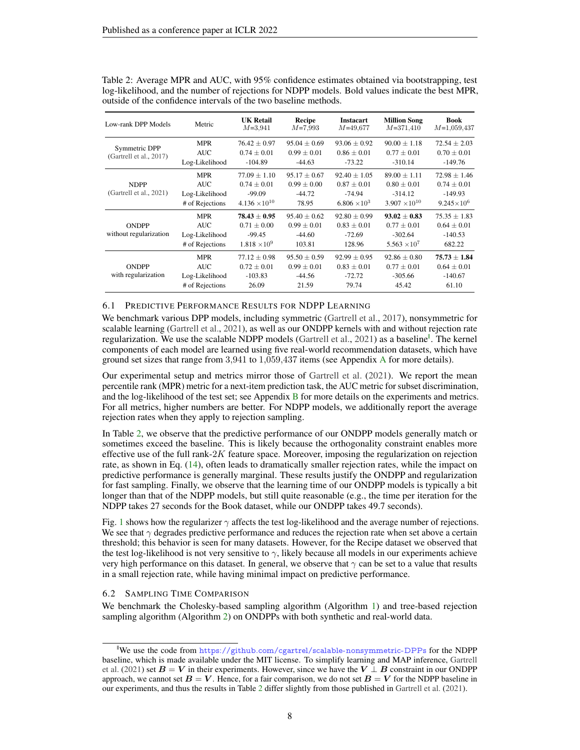| Low-rank DPP Models        | Metric                   | <b>UK Retail</b><br>$M = 3.941$     | Recipe<br>$M = 7.993$               | Instacart<br>$M = 49,677$           | <b>Million Song</b><br>$M = 371,410$ | Book<br>$M=1,059,437$               |
|----------------------------|--------------------------|-------------------------------------|-------------------------------------|-------------------------------------|--------------------------------------|-------------------------------------|
| Symmetric DPP              | <b>MPR</b><br><b>AUC</b> | $76.42 \pm 0.97$<br>$0.74 \pm 0.01$ | $95.04 \pm 0.69$<br>$0.99 \pm 0.01$ | $93.06 \pm 0.92$<br>$0.86 \pm 0.01$ | $90.00 \pm 1.18$<br>$0.77 \pm 0.01$  | $72.54 \pm 2.03$<br>$0.70 \pm 0.01$ |
| (Gartrell et al., $2017$ ) | Log-Likelihood           | $-104.89$                           | $-44.63$                            | $-73.22$                            | $-310.14$                            | $-149.76$                           |
|                            | <b>MPR</b>               | $77.09 \pm 1.10$                    | $95.17 + 0.67$                      | $92.40 + 1.05$                      | $89.00 + 1.11$                       | $72.98 \pm 1.46$                    |
| <b>NDPP</b>                | <b>AUC</b>               | $0.74 \pm 0.01$                     | $0.99 \pm 0.00$                     | $0.87 + 0.01$                       | $0.80 + 0.01$                        | $0.74 + 0.01$                       |
| (Gartrell et al., $2021$ ) | Log-Likelihood           | $-99.09$                            | $-44.72$                            | $-74.94$                            | $-314.12$                            | $-149.93$                           |
|                            | # of Rejections          | $4.136 \times 10^{10}$              | 78.95                               | 6.806 $\times$ 10 <sup>3</sup>      | $3.907 \times 10^{10}$               | $9.245 \times 10^6$                 |
|                            | <b>MPR</b>               | $78.43 \pm 0.95$                    | $95.40 \pm 0.62$                    | $92.80 \pm 0.99$                    | $93.02 \pm 0.83$                     | $75.35 \pm 1.83$                    |
| <b>ONDPP</b>               | <b>AUC</b>               | $0.71 \pm 0.00$                     | $0.99 \pm 0.01$                     | $0.83 + 0.01$                       | $0.77 + 0.01$                        | $0.64 + 0.01$                       |
| without regularization     | Log-Likelihood           | $-99.45$                            | $-44.60$                            | $-72.69$                            | $-302.64$                            | $-140.53$                           |
|                            | # of Rejections          | $1.818 \times 10^{9}$               | 103.81                              | 128.96                              | $5.563 \times 10^{7}$                | 682.22                              |
|                            | <b>MPR</b>               | $77.12 \pm 0.98$                    | $95.50 \pm 0.59$                    | $92.99 \pm 0.95$                    | $92.86 \pm 0.80$                     | $75.73 \pm 1.84$                    |
| <b>ONDPP</b>               | <b>AUC</b>               | $0.72 \pm 0.01$                     | $0.99 \pm 0.01$                     | $0.83 \pm 0.01$                     | $0.77 \pm 0.01$                      | $0.64 \pm 0.01$                     |
| with regularization        | Log-Likelihood           | $-103.83$                           | $-44.56$                            | $-72.72$                            | $-305.66$                            | $-140.67$                           |
|                            | # of Rejections          | 26.09                               | 21.59                               | 79.74                               | 45.42                                | 61.10                               |

<span id="page-7-1"></span>Table 2: Average MPR and AUC, with 95% confidence estimates obtained via bootstrapping, test log-likelihood, and the number of rejections for NDPP models. Bold values indicate the best MPR, outside of the confidence intervals of the two baseline methods.

### <span id="page-7-2"></span>6.1 PREDICTIVE PERFORMANCE RESULTS FOR NDPP LEARNING

We benchmark various DPP models, including symmetric [\(Gartrell et al.,](#page-10-10) [2017\)](#page-10-10), nonsymmetric for scalable learning [\(Gartrell et al.,](#page-10-3) [2021\)](#page-10-3), as well as our ONDPP kernels with and without rejection rate regularization. We use the scalable NDPP models [\(Gartrell et al.,](#page-10-3) [2021\)](#page-10-3) as a baseline. The kernel components of each model are learned using five real-world recommendation datasets, which have ground set sizes that range from 3,941 to 1,059,437 items (see Appendix [A](#page-12-0) for more details).

Our experimental setup and metrics mirror those of [Gartrell et al.](#page-10-3) [\(2021\)](#page-10-3). We report the mean percentile rank (MPR) metric for a next-item prediction task, the AUC metric for subset discrimination, and the log-likelihood of the test set; see Appendix  $\overline{B}$  $\overline{B}$  $\overline{B}$  for more details on the experiments and metrics. For all metrics, higher numbers are better. For NDPP models, we additionally report the average rejection rates when they apply to rejection sampling.

In Table [2,](#page-7-1) we observe that the predictive performance of our ONDPP models generally match or sometimes exceed the baseline. This is likely because the orthogonality constraint enables more effective use of the full rank- $2K$  feature space. Moreover, imposing the regularization on rejection rate, as shown in Eq. [\(14\)](#page-6-3), often leads to dramatically smaller rejection rates, while the impact on predictive performance is generally marginal. These results justify the ONDPP and regularization for fast sampling. Finally, we observe that the learning time of our ONDPP models is typically a bit longer than that of the NDPP models, but still quite reasonable (e.g., the time per iteration for the NDPP takes 27 seconds for the Book dataset, while our ONDPP takes 49.7 seconds).

Fig. [1](#page-8-0) shows how the regularizer  $\gamma$  affects the test log-likelihood and the average number of rejections. We see that  $\gamma$  degrades predictive performance and reduces the rejection rate when set above a certain threshold; this behavior is seen for many datasets. However, for the Recipe dataset we observed that the test log-likelihood is not very sensitive to  $\gamma$ , likely because all models in our experiments achieve very high performance on this dataset. In general, we observe that  $\gamma$  can be set to a value that results in a small rejection rate, while having minimal impact on predictive performance.

### 6.2 SAMPLING TIME COMPARISON

We benchmark the Cholesky-based sampling algorithm (Algorithm [1\)](#page-2-1) and tree-based rejection sampling algorithm (Algorithm [2\)](#page-3-4) on ONDPPs with both synthetic and real-world data.

<span id="page-7-0"></span><sup>||</sup>We use the code from <https://github.com/cgartrel/scalable-nonsymmetric-DPPs> for the NDPP baseline, which is made available under the MIT license. To simplify learning and MAP inference, [Gartrell](#page-10-3) [et al.](#page-10-3) [\(2021\)](#page-10-3) set  $B = V$  in their experiments. However, since we have the  $V \perp B$  constraint in our ONDPP approach, we cannot set  $B = V$ . Hence, for a fair comparison, we do not set  $B = V$  for the NDPP baseline in our experiments, and thus the results in Table [2](#page-7-1) differ slightly from those published in [Gartrell et al.](#page-10-3) [\(2021\)](#page-10-3).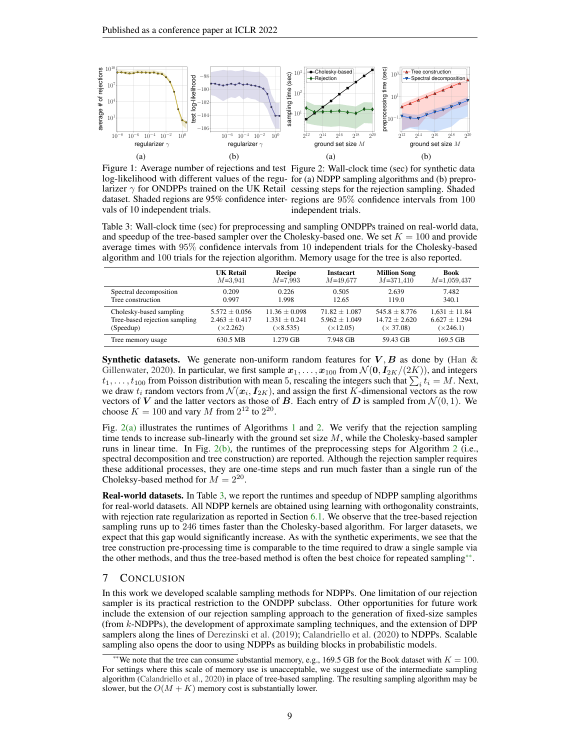

<span id="page-8-0"></span>Figure 1: Average number of rejections and test Figure 2: Wall-clock time (sec) for synthetic data log-likelihood with different values of the regu-for (a) NDPP sampling algorithms and (b) preprolarizer  $\gamma$  for ONDPPs trained on the UK Retail cessing steps for the rejection sampling. Shaded dataset. Shaded regions are 95% confidence inter-regions are 95% confidence intervals from 100 vals of 10 independent trials.

<span id="page-8-2"></span><span id="page-8-1"></span>independent trials.

<span id="page-8-3"></span>Table 3: Wall-clock time (sec) for preprocessing and sampling ONDPPs trained on real-world data, and speedup of the tree-based sampler over the Cholesky-based one. We set  $K = 100$  and provide average times with 95% confidence intervals from 10 independent trials for the Cholesky-based algorithm and 100 trials for the rejection algorithm. Memory usage for the tree is also reported.

|                               | <b>UK Retail</b> | Recipe           | Instacart        | <b>Million Song</b> | <b>Book</b>       |
|-------------------------------|------------------|------------------|------------------|---------------------|-------------------|
|                               | $M = 3.941$      | $M = 7.993$      | $M = 49.677$     | $M = 371.410$       | $M=1,059,437$     |
| Spectral decomposition        | 0.209            | 0.226            | 0.505            | 2.639               | 7.482             |
| Tree construction             | 0.997            | 1.998            | 12.65            | 119.0               | 340.1             |
| Cholesky-based sampling       | $5.572 + 0.056$  | $11.36 + 0.098$  | $71.82 + 1.087$  | $545.8 + 8.776$     | $1.631 \pm 11.84$ |
| Tree-based rejection sampling | $2.463 + 0.417$  | $1.331 + 0.241$  | $5.962 + 1.049$  | $14.72 + 2.620$     | $6.627 + 1.294$   |
| (Speedup)                     | $(\times 2.262)$ | $(\times 8.535)$ | $(\times 12.05)$ | $(\times 37.08)$    | $(\times 246.1)$  |
| Tree memory usage             | 630.5 MB         | 1.279 GB         | 7.948 GB         | 59.43 GB            | 169.5 GB          |

**Synthetic datasets.** We generate non-uniform random features for  $V, B$  as done by (Han  $\&$ [Gillenwater,](#page-10-11) [2020\)](#page-10-11). In particular, we first sample  $x_1, \ldots, x_{100}$  from  $\mathcal{N}(\mathbf{0}, \mathbf{I}_{2K}/(2K))$ , and integers  $t_1, \ldots, t_{100}$  from Poisson distribution with mean 5, rescaling the integers such that  $\sum_i t_i = M$ . Next, we draw  $t_i$  random vectors from  $\mathcal{N}(x_i, I_{2K})$ , and assign the first K-dimensional vectors as the row vectors of V and the latter vectors as those of B. Each entry of D is sampled from  $\mathcal{N}(0, 1)$ . We choose  $K = 100$  and vary M from  $2^{12}$  to  $2^{20}$ .

Fig. [2\(a\)](#page-8-1) illustrates the runtimes of Algorithms [1](#page-2-1) and [2.](#page-3-4) We verify that the rejection sampling time tends to increase sub-linearly with the ground set size  $M$ , while the Cholesky-based sampler runs in linear time. In Fig.  $2(b)$  $2(b)$ , the runtimes of the preprocessing steps for Algorithm 2 (i.e., spectral decomposition and tree construction) are reported. Although the rejection sampler requires these additional processes, they are one-time steps and run much faster than a single run of the Choleksy-based method for  $M = 2^{20}$ .

Real-world datasets. In Table [3,](#page-8-3) we report the runtimes and speedup of NDPP sampling algorithms for real-world datasets. All NDPP kernels are obtained using learning with orthogonality constraints, with rejection rate regularization as reported in Section [6.1.](#page-7-2) We observe that the tree-based rejection sampling runs up to 246 times faster than the Cholesky-based algorithm. For larger datasets, we expect that this gap would significantly increase. As with the synthetic experiments, we see that the tree construction pre-processing time is comparable to the time required to draw a single sample via the other methods, and thus the tree-based method is often the best choice for repeated sampling[\\*\\*](#page-8-4).

# 7 CONCLUSION

In this work we developed scalable sampling methods for NDPPs. One limitation of our rejection sampler is its practical restriction to the ONDPP subclass. Other opportunities for future work include the extension of our rejection sampling approach to the generation of fixed-size samples (from k-NDPPs), the development of approximate sampling techniques, and the extension of DPP samplers along the lines of [Derezinski et al.](#page-9-2) [\(2019\)](#page-9-2); [Calandriello et al.](#page-9-3) [\(2020\)](#page-9-3) to NDPPs. Scalable sampling also opens the door to using NDPPs as building blocks in probabilistic models.

<span id="page-8-4"></span><sup>\*\*</sup>We note that the tree can consume substantial memory, e.g., 169.5 GB for the Book dataset with  $K = 100$ . For settings where this scale of memory use is unacceptable, we suggest use of the intermediate sampling algorithm [\(Calandriello et al.,](#page-9-3) [2020\)](#page-9-3) in place of tree-based sampling. The resulting sampling algorithm may be slower, but the  $O(M + K)$  memory cost is substantially lower.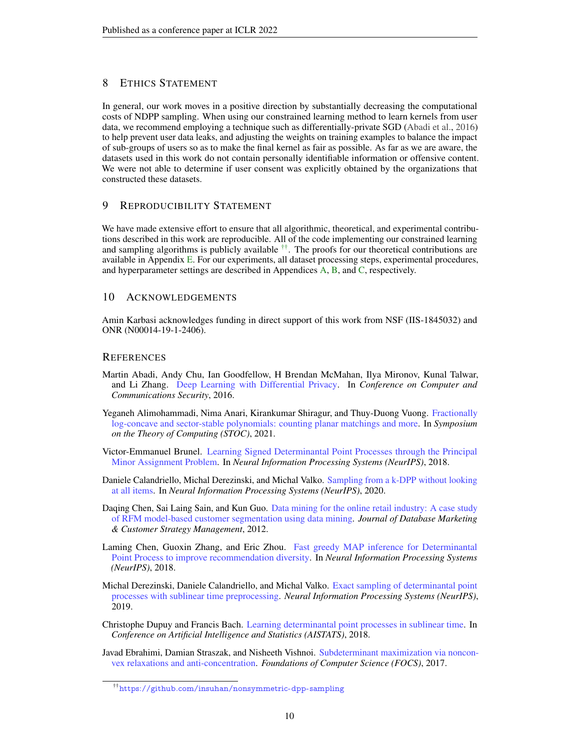# 8 ETHICS STATEMENT

In general, our work moves in a positive direction by substantially decreasing the computational costs of NDPP sampling. When using our constrained learning method to learn kernels from user data, we recommend employing a technique such as differentially-private SGD [\(Abadi et al.,](#page-9-7) [2016\)](#page-9-7) to help prevent user data leaks, and adjusting the weights on training examples to balance the impact of sub-groups of users so as to make the final kernel as fair as possible. As far as we are aware, the datasets used in this work do not contain personally identifiable information or offensive content. We were not able to determine if user consent was explicitly obtained by the organizations that constructed these datasets.

# 9 REPRODUCIBILITY STATEMENT

We have made extensive effort to ensure that all algorithmic, theoretical, and experimental contributions described in this work are reproducible. All of the code implementing our constrained learning and sampling algorithms is publicly available  $\dagger$ . The proofs for our theoretical contributions are available in Appendix [E.](#page-15-1) For our experiments, all dataset processing steps, experimental procedures, and hyperparameter settings are described in Appendices [A,](#page-12-0) [B,](#page-12-1) and [C,](#page-13-0) respectively.

# 10 ACKNOWLEDGEMENTS

Amin Karbasi acknowledges funding in direct support of this work from NSF (IIS-1845032) and ONR (N00014-19-1-2406).

### **REFERENCES**

- <span id="page-9-7"></span>Martin Abadi, Andy Chu, Ian Goodfellow, H Brendan McMahan, Ilya Mironov, Kunal Talwar, and Li Zhang. [Deep Learning with Differential Privacy.](https://arxiv.org/pdf/1607.00133.pdf) In *Conference on Computer and Communications Security*, 2016.
- <span id="page-9-6"></span>Yeganeh Alimohammadi, Nima Anari, Kirankumar Shiragur, and Thuy-Duong Vuong. [Fractionally](https://arxiv.org/pdf/2102.02708.pdf) [log-concave and sector-stable polynomials: counting planar matchings and more.](https://arxiv.org/pdf/2102.02708.pdf) In *Symposium on the Theory of Computing (STOC)*, 2021.
- <span id="page-9-1"></span>Victor-Emmanuel Brunel. [Learning Signed Determinantal Point Processes through the Principal](https://papers.nips.cc/paper/7966-learning-signed-determinantal-point-processes-through-the-principal-minor-assignment-problem.pdf) [Minor Assignment Problem.](https://papers.nips.cc/paper/7966-learning-signed-determinantal-point-processes-through-the-principal-minor-assignment-problem.pdf) In *Neural Information Processing Systems (NeurIPS)*, 2018.
- <span id="page-9-3"></span>Daniele Calandriello, Michal Derezinski, and Michal Valko. [Sampling from a k-DPP without looking](https://proceedings.neurips.cc/paper/2020/file/4d410063822cd9be28f86701c0bc3a31-Paper.pdf) [at all items.](https://proceedings.neurips.cc/paper/2020/file/4d410063822cd9be28f86701c0bc3a31-Paper.pdf) In *Neural Information Processing Systems (NeurIPS)*, 2020.
- <span id="page-9-9"></span>Daqing Chen, Sai Laing Sain, and Kun Guo. [Data mining for the online retail industry: A case study](https://link.springer.com/content/pdf/10.1057/dbm.2012.17.pdf) [of RFM model-based customer segmentation using data mining.](https://link.springer.com/content/pdf/10.1057/dbm.2012.17.pdf) *Journal of Database Marketing & Customer Strategy Management*, 2012.
- <span id="page-9-4"></span>Laming Chen, Guoxin Zhang, and Eric Zhou. [Fast greedy MAP inference for Determinantal](https://papers.nips.cc/paper/7805-fast-greedy-map-inference-for-determinantal-point-process-to-improve-recommendation-diversity.pdf) [Point Process to improve recommendation diversity.](https://papers.nips.cc/paper/7805-fast-greedy-map-inference-for-determinantal-point-process-to-improve-recommendation-diversity.pdf) In *Neural Information Processing Systems (NeurIPS)*, 2018.
- <span id="page-9-2"></span>Michal Derezinski, Daniele Calandriello, and Michal Valko. [Exact sampling of determinantal point](https://proceedings.neurips.cc/paper/2019/file/fa3060edb66e6ff4507886f9912e1ab9-Paper.pdf) [processes with sublinear time preprocessing.](https://proceedings.neurips.cc/paper/2019/file/fa3060edb66e6ff4507886f9912e1ab9-Paper.pdf) *Neural Information Processing Systems (NeurIPS)*, 2019.
- <span id="page-9-0"></span>Christophe Dupuy and Francis Bach. [Learning determinantal point processes in sublinear time.](http://proceedings.mlr.press/v84/dupuy18a/dupuy18a.pdf) In *Conference on Artificial Intelligence and Statistics (AISTATS)*, 2018.
- <span id="page-9-5"></span>Javad Ebrahimi, Damian Straszak, and Nisheeth Vishnoi. [Subdeterminant maximization via noncon](https://arxiv.org/pdf/1707.02757.pdf)[vex relaxations and anti-concentration.](https://arxiv.org/pdf/1707.02757.pdf) *Foundations of Computer Science (FOCS)*, 2017.

<span id="page-9-8"></span><sup>††</sup><https://github.com/insuhan/nonsymmetric-dpp-sampling>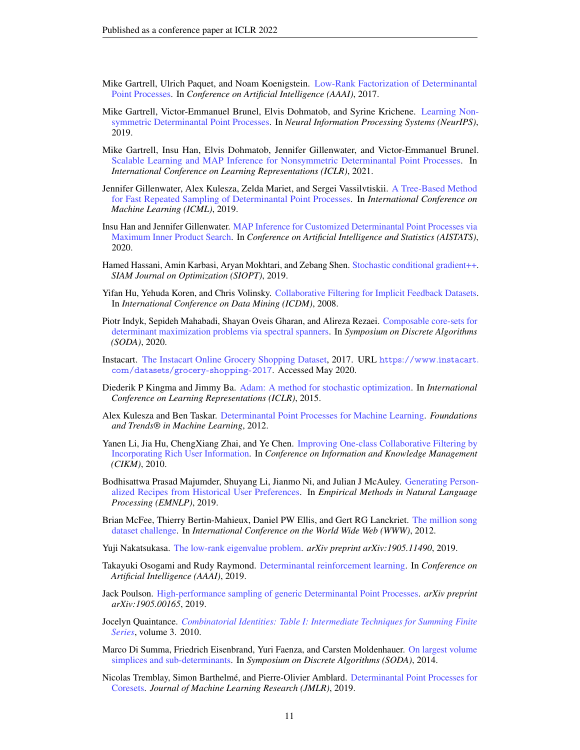- <span id="page-10-10"></span>Mike Gartrell, Ulrich Paquet, and Noam Koenigstein. [Low-Rank Factorization of Determinantal](https://arxiv.org/pdf/1602.05436.pdf) [Point Processes.](https://arxiv.org/pdf/1602.05436.pdf) In *Conference on Artificial Intelligence (AAAI)*, 2017.
- <span id="page-10-2"></span>Mike Gartrell, Victor-Emmanuel Brunel, Elvis Dohmatob, and Syrine Krichene. [Learning Non](https://papers.nips.cc/paper/8897-learning-nonsymmetric-determinantal-point-processes.pdf)[symmetric Determinantal Point Processes.](https://papers.nips.cc/paper/8897-learning-nonsymmetric-determinantal-point-processes.pdf) In *Neural Information Processing Systems (NeurIPS)*, 2019.
- <span id="page-10-3"></span>Mike Gartrell, Insu Han, Elvis Dohmatob, Jennifer Gillenwater, and Victor-Emmanuel Brunel. [Scalable Learning and MAP Inference for Nonsymmetric Determinantal Point Processes.](https://arxiv.org/pdf/2006.09862.pdf) In *International Conference on Learning Representations (ICLR)*, 2021.
- <span id="page-10-9"></span>Jennifer Gillenwater, Alex Kulesza, Zelda Mariet, and Sergei Vassilvtiskii. [A Tree-Based Method](http://jgillenw.com/icml2019.pdf) [for Fast Repeated Sampling of Determinantal Point Processes.](http://jgillenw.com/icml2019.pdf) In *International Conference on Machine Learning (ICML)*, 2019.
- <span id="page-10-11"></span>Insu Han and Jennifer Gillenwater. [MAP Inference for Customized Determinantal Point Processes via](http://jgillenw.com/aistats2020.pdf) [Maximum Inner Product Search.](http://jgillenw.com/aistats2020.pdf) In *Conference on Artificial Intelligence and Statistics (AISTATS)*, 2020.
- <span id="page-10-6"></span>Hamed Hassani, Amin Karbasi, Aryan Mokhtari, and Zebang Shen. [Stochastic conditional gradient++.](https://arxiv.org/pdf/1902.06992.pdf) *SIAM Journal on Optimization (SIOPT)*, 2019.
- <span id="page-10-16"></span>Yifan Hu, Yehuda Koren, and Chris Volinsky. [Collaborative Filtering for Implicit Feedback Datasets.](http://yifanhu.net/PUB/cf.pdf) In *International Conference on Data Mining (ICDM)*, 2008.
- <span id="page-10-7"></span>Piotr Indyk, Sepideh Mahabadi, Shayan Oveis Gharan, and Alireza Rezaei. [Composable core-sets for](https://arxiv.org/pdf/1807.11648.pdf) [determinant maximization problems via spectral spanners.](https://arxiv.org/pdf/1807.11648.pdf) In *Symposium on Discrete Algorithms (SODA)*, 2020.
- <span id="page-10-13"></span>Instacart. [The Instacart Online Grocery Shopping Dataset,](https://www.instacart.com/datasets/grocery-shopping-2017) 2017. URL [https://www.instacart.](https://www.instacart.com/datasets/grocery-shopping-2017) [com/datasets/grocery-shopping-2017](https://www.instacart.com/datasets/grocery-shopping-2017). Accessed May 2020.
- <span id="page-10-15"></span>Diederik P Kingma and Jimmy Ba. [Adam: A method for stochastic optimization.](https://arxiv.org/pdf/1412.6980.pdf) In *International Conference on Learning Representations (ICLR)*, 2015.
- <span id="page-10-8"></span>Alex Kulesza and Ben Taskar. [Determinantal Point Processes for Machine Learning.](https://arxiv.org/pdf/1207.6083.pdf) *Foundations and Trends® in Machine Learning*, 2012.
- <span id="page-10-17"></span>Yanen Li, Jia Hu, ChengXiang Zhai, and Ye Chen. [Improving One-class Collaborative Filtering by](http://sifaka.cs.uiuc.edu/czhai/pub/cikm10-cf.pdf) [Incorporating Rich User Information.](http://sifaka.cs.uiuc.edu/czhai/pub/cikm10-cf.pdf) In *Conference on Information and Knowledge Management (CIKM)*, 2010.
- <span id="page-10-12"></span>Bodhisattwa Prasad Majumder, Shuyang Li, Jianmo Ni, and Julian J McAuley. [Generating Person](https://arxiv.org/pdf/1909.00105.pdf)[alized Recipes from Historical User Preferences.](https://arxiv.org/pdf/1909.00105.pdf) In *Empirical Methods in Natural Language Processing (EMNLP)*, 2019.
- <span id="page-10-14"></span>Brian McFee, Thierry Bertin-Mahieux, Daniel PW Ellis, and Gert RG Lanckriet. [The million song](https://dl.acm.org/doi/pdf/10.1145/2187980.2188222) [dataset challenge.](https://dl.acm.org/doi/pdf/10.1145/2187980.2188222) In *International Conference on the World Wide Web (WWW)*, 2012.
- <span id="page-10-18"></span>Yuji Nakatsukasa. [The low-rank eigenvalue problem.](https://arxiv.org/pdf/1905.11490.pdf) *arXiv preprint arXiv:1905.11490*, 2019.
- <span id="page-10-0"></span>Takayuki Osogami and Rudy Raymond. [Determinantal reinforcement learning.](https://ojs.aaai.org//index.php/AAAI/article/view/4390) In *Conference on Artificial Intelligence (AAAI)*, 2019.
- <span id="page-10-4"></span>Jack Poulson. [High-performance sampling of generic Determinantal Point Processes.](https://arxiv.org/pdf/1905.00165.pdf) *arXiv preprint arXiv:1905.00165*, 2019.
- <span id="page-10-19"></span>Jocelyn Quaintance. *[Combinatorial Identities: Table I: Intermediate Techniques for Summing Finite](https://web.archive.org/web/20171118022119/http://www.math.wvu.edu/~gould/Vol.4.PDF) [Series](https://web.archive.org/web/20171118022119/http://www.math.wvu.edu/~gould/Vol.4.PDF)*, volume 3. 2010.
- <span id="page-10-5"></span>Marco Di Summa, Friedrich Eisenbrand, Yuri Faenza, and Carsten Moldenhauer. [On largest volume](https://arxiv.org/pdf/1406.3512.pdf) [simplices and sub-determinants.](https://arxiv.org/pdf/1406.3512.pdf) In *Symposium on Discrete Algorithms (SODA)*, 2014.
- <span id="page-10-1"></span>Nicolas Tremblay, Simon Barthelmé, and Pierre-Olivier Amblard. [Determinantal Point Processes for](https://www.jmlr.org/papers/volume20/18-167/18-167.pdf) [Coresets.](https://www.jmlr.org/papers/volume20/18-167/18-167.pdf) *Journal of Machine Learning Research (JMLR)*, 2019.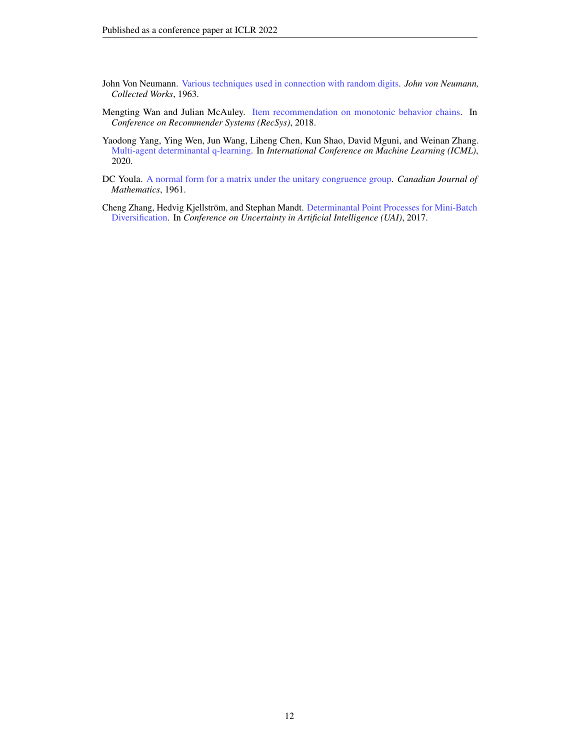- <span id="page-11-2"></span>John Von Neumann. [Various techniques used in connection with random digits.](https://mcnp.lanl.gov/pdf_files/nbs_vonneumann.pdf) *John von Neumann, Collected Works*, 1963.
- <span id="page-11-4"></span>Mengting Wan and Julian McAuley. [Item recommendation on monotonic behavior chains.](https://dl.acm.org/doi/pdf/10.1145/3240323.3240369?casa_token=z9zyWojCDLQAAAAA:DksLQSov8yHhrMHHqoh03G63Lb2spjkRffZFNUNvOmdwNOY8VQB4fqiZOUL9eOvDDHO6fcHyqw) In *Conference on Recommender Systems (RecSys)*, 2018.
- <span id="page-11-1"></span>Yaodong Yang, Ying Wen, Jun Wang, Liheng Chen, Kun Shao, David Mguni, and Weinan Zhang. [Multi-agent determinantal q-learning.](https://arxiv.org/pdf/2006.01482.pdf) In *International Conference on Machine Learning (ICML)*, 2020.
- <span id="page-11-3"></span>DC Youla. [A normal form for a matrix under the unitary congruence group.](https://www.cambridge.org/core/services/aop-cambridge-core/content/view/964D0AA8DAC0CDB9079F04331B61859D/S0008414X00013584a.pdf/normal_form_for_a_matrix_under_the_unitary_congruence_group.pdf) *Canadian Journal of Mathematics*, 1961.

<span id="page-11-0"></span>Cheng Zhang, Hedvig Kjellström, and Stephan Mandt. [Determinantal Point Processes for Mini-Batch](http://auai.org/uai2017/proceedings/papers/69.pdf) [Diversification.](http://auai.org/uai2017/proceedings/papers/69.pdf) In *Conference on Uncertainty in Artificial Intelligence (UAI)*, 2017.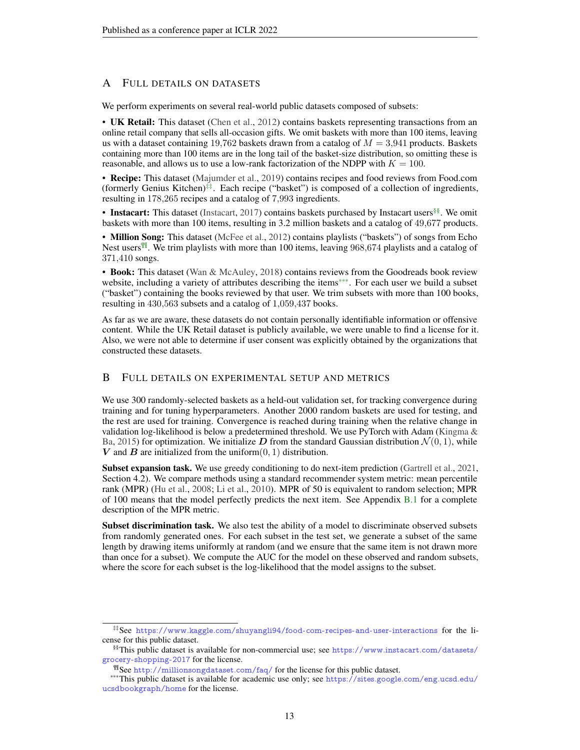# <span id="page-12-0"></span>A FULL DETAILS ON DATASETS

We perform experiments on several real-world public datasets composed of subsets:

• UK Retail: This dataset [\(Chen et al.,](#page-9-9) [2012\)](#page-9-9) contains baskets representing transactions from an online retail company that sells all-occasion gifts. We omit baskets with more than 100 items, leaving us with a dataset containing 19,762 baskets drawn from a catalog of  $M = 3,941$  products. Baskets containing more than 100 items are in the long tail of the basket-size distribution, so omitting these is reasonable, and allows us to use a low-rank factorization of the NDPP with  $K = 100$ .

• Recipe: This dataset [\(Majumder et al.,](#page-10-12) [2019\)](#page-10-12) contains recipes and food reviews from Food.com (formerly Genius Kitchen) $\ddot{\tau}$ <sup>‡</sup>. Each recipe ("basket") is composed of a collection of ingredients, resulting in 178,265 recipes and a catalog of 7,993 ingredients.

• Instacart: This dataset [\(Instacart,](#page-10-13) [2017\)](#page-10-13) contains baskets purchased by Instacart users<sup>[§§](#page-12-3)</sup>. We omit baskets with more than 100 items, resulting in 3.2 million baskets and a catalog of 49,677 products.

• Million Song: This dataset [\(McFee et al.,](#page-10-14) [2012\)](#page-10-14) contains playlists ("baskets") of songs from Echo Nest users<sup> $\mathbb{I}$ </sup>. We trim playlists with more than 100 items, leaving 968,674 playlists and a catalog of 371,410 songs.

• Book: This dataset [\(Wan & McAuley,](#page-11-4) [2018\)](#page-11-4) contains reviews from the Goodreads book review website, including a variety of attributes describing the items[\\*\\*\\*](#page-12-5). For each user we build a subset ("basket") containing the books reviewed by that user. We trim subsets with more than 100 books, resulting in 430,563 subsets and a catalog of 1,059,437 books.

As far as we are aware, these datasets do not contain personally identifiable information or offensive content. While the UK Retail dataset is publicly available, we were unable to find a license for it. Also, we were not able to determine if user consent was explicitly obtained by the organizations that constructed these datasets.

# <span id="page-12-1"></span>B FULL DETAILS ON EXPERIMENTAL SETUP AND METRICS

We use 300 randomly-selected baskets as a held-out validation set, for tracking convergence during training and for tuning hyperparameters. Another 2000 random baskets are used for testing, and the rest are used for training. Convergence is reached during training when the relative change in validation log-likelihood is below a predetermined threshold. We use PyTorch with Adam [\(Kingma &](#page-10-15) [Ba,](#page-10-15) [2015\)](#page-10-15) for optimization. We initialize D from the standard Gaussian distribution  $\mathcal{N}(0, 1)$ , while V and B are initialized from the uniform $(0, 1)$  distribution.

Subset expansion task. We use greedy conditioning to do next-item prediction [\(Gartrell et al.,](#page-10-3) [2021,](#page-10-3) Section 4.2). We compare methods using a standard recommender system metric: mean percentile rank (MPR) [\(Hu et al.,](#page-10-16) [2008;](#page-10-16) [Li et al.,](#page-10-17) [2010\)](#page-10-17). MPR of 50 is equivalent to random selection; MPR of 100 means that the model perfectly predicts the next item. See Appendix [B.1](#page-13-1) for a complete description of the MPR metric.

Subset discrimination task. We also test the ability of a model to discriminate observed subsets from randomly generated ones. For each subset in the test set, we generate a subset of the same length by drawing items uniformly at random (and we ensure that the same item is not drawn more than once for a subset). We compute the AUC for the model on these observed and random subsets, where the score for each subset is the log-likelihood that the model assigns to the subset.

<span id="page-12-2"></span><sup>‡‡</sup>See <https://www.kaggle.com/shuyangli94/food-com-recipes-and-user-interactions> for the license for this public dataset.

<span id="page-12-3"></span><sup>§§</sup>This public dataset is available for non-commercial use; see [https://www.instacart.com/datasets/](https://www.instacart.com/datasets/grocery-shopping-2017) [grocery-shopping-2017](https://www.instacart.com/datasets/grocery-shopping-2017) for the license.

<span id="page-12-5"></span><span id="page-12-4"></span><sup>¶¶</sup>See <http://millionsongdataset.com/faq/> for the license for this public dataset.

<sup>\*\*\*</sup>This public dataset is available for academic use only; see [https://sites.google.com/eng.ucsd.edu/](https://sites.google.com/eng.ucsd.edu/ucsdbookgraph/home) [ucsdbookgraph/home](https://sites.google.com/eng.ucsd.edu/ucsdbookgraph/home) for the license.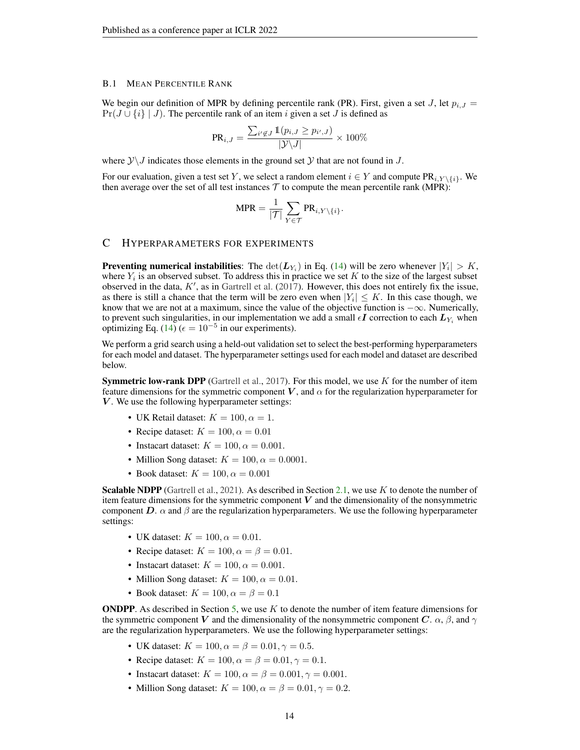#### <span id="page-13-1"></span>B.1 MEAN PERCENTILE RANK

We begin our definition of MPR by defining percentile rank (PR). First, given a set J, let  $p_{i,J}$  =  $Pr(J \cup \{i\} | J)$ . The percentile rank of an item i given a set J is defined as

$$
\text{PR}_{i,J} = \frac{\sum_{i'\not\in J}\mathbbm{1}(p_{i,J} \geq p_{i',J})}{|\mathcal{Y}\backslash J|} \times 100\%
$$

where  $\mathcal{Y}\setminus J$  indicates those elements in the ground set  $\mathcal{Y}$  that are not found in  $J$ .

For our evaluation, given a test set Y, we select a random element  $i \in Y$  and compute  $PR_{i, Y \setminus \{i\}}$ . We then average over the set of all test instances  $\mathcal T$  to compute the mean percentile rank (MPR):

$$
MPR = \frac{1}{|\mathcal{T}|} \sum_{Y \in \mathcal{T}} PR_{i,Y \setminus \{i\}}.
$$

### <span id="page-13-0"></span>C HYPERPARAMETERS FOR EXPERIMENTS

**Preventing numerical instabilities**: The  $\det(L_{Y_i})$  in Eq. [\(14\)](#page-6-3) will be zero whenever  $|Y_i| > K$ , where  $Y_i$  is an observed subset. To address this in practice we set K to the size of the largest subset observed in the data,  $K'$ , as in [Gartrell et al.](#page-10-10) [\(2017\)](#page-10-10). However, this does not entirely fix the issue, as there is still a chance that the term will be zero even when  $|Y_i| \leq K$ . In this case though, we know that we are not at a maximum, since the value of the objective function is  $-\infty$ . Numerically, to prevent such singularities, in our implementation we add a small  $\epsilon I$  correction to each  $L_{Y_i}$  when optimizing Eq. [\(14\)](#page-6-3) ( $\epsilon = 10^{-5}$  in our experiments).

We perform a grid search using a held-out validation set to select the best-performing hyperparameters for each model and dataset. The hyperparameter settings used for each model and dataset are described below.

**Symmetric low-rank DPP** [\(Gartrell et al.,](#page-10-10) [2017\)](#page-10-10). For this model, we use  $K$  for the number of item feature dimensions for the symmetric component V, and  $\alpha$  for the regularization hyperparameter for  $V$ . We use the following hyperparameter settings:

- UK Retail dataset:  $K = 100, \alpha = 1$ .
- Recipe dataset:  $K = 100, \alpha = 0.01$
- Instacart dataset:  $K = 100, \alpha = 0.001$ .
- Million Song dataset:  $K = 100, \alpha = 0.0001$ .
- Book dataset:  $K = 100, \alpha = 0.001$

**Scalable NDPP** [\(Gartrell et al.,](#page-10-3) [2021\)](#page-10-3). As described in Section [2.1,](#page-1-2) we use  $K$  to denote the number of item feature dimensions for the symmetric component  $V$  and the dimensionality of the nonsymmetric component  $D$ .  $\alpha$  and  $\beta$  are the regularization hyperparameters. We use the following hyperparameter settings:

- UK dataset:  $K = 100, \alpha = 0.01$ .
- Recipe dataset:  $K = 100, \alpha = \beta = 0.01$ .
- Instacart dataset:  $K = 100$ ,  $\alpha = 0.001$ .
- Million Song dataset:  $K = 100, \alpha = 0.01$ .
- Book dataset:  $K = 100, \alpha = \beta = 0.1$

**ONDPP.** As described in Section [5,](#page-6-0) we use  $K$  to denote the number of item feature dimensions for the symmetric component V and the dimensionality of the nonsymmetric component C.  $\alpha$ ,  $\beta$ , and  $\gamma$ are the regularization hyperparameters. We use the following hyperparameter settings:

- UK dataset:  $K = 100, \alpha = \beta = 0.01, \gamma = 0.5$ .
- Recipe dataset:  $K = 100, \alpha = \beta = 0.01, \gamma = 0.1$ .
- Instacart dataset:  $K = 100$ ,  $\alpha = \beta = 0.001$ ,  $\gamma = 0.001$ .
- Million Song dataset:  $K = 100, \alpha = \beta = 0.01, \gamma = 0.2$ .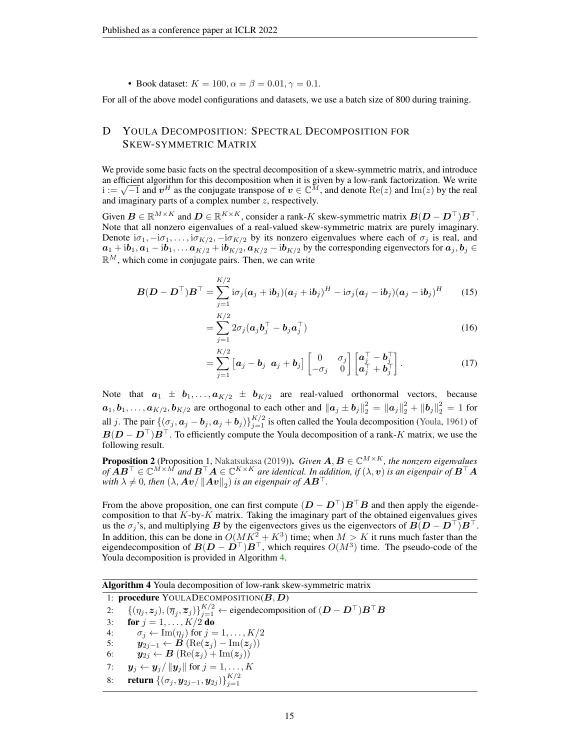• Book dataset:  $K = 100$ ,  $\alpha = \beta = 0.01$ ,  $\gamma = 0.1$ .

For all of the above model configurations and datasets, we use a batch size of 800 during training.

# <span id="page-14-0"></span>D YOULA DECOMPOSITION: SPECTRAL DECOMPOSITION FOR SKEW-SYMMETRIC MATRIX

We provide some basic facts on the spectral decomposition of a skew-symmetric matrix, and introduce an efficient algorithm for this decomposition when it is given by a low-rank factorization. We write  $i := \sqrt{-1}$  and  $v^H$  as the conjugate transpose of  $v \in \mathbb{C}^M$ , and denote  $\text{Re}(z)$  and  $\text{Im}(z)$  by the real and imaginary parts of a complex number z, respectively.

Given  $\mathbf{B} \in \mathbb{R}^{M \times K}$  and  $\mathbf{D} \in \mathbb{R}^{K \times K}$ , consider a rank-K skew-symmetric matrix  $\mathbf{B}(\mathbf{D} - \mathbf{D}^{\top})\mathbf{B}^{\top}$ . Note that all nonzero eigenvalues of a real-valued skew-symmetric matrix are purely imaginary. Denote  $i\sigma_1, -i\sigma_1, \ldots, i\sigma_{K/2}, -i\sigma_{K/2}$  by its nonzero eigenvalues where each of  $\sigma_j$  is real, and  $a_1+{\rm i}b_1,a_1-{\rm i}b_1,\dots a_{K/2}+{\rm i}b_{K/2},a_{K/2}-{\rm i}b_{K/2}$  by the corresponding eigenvectors for  $a_j,b_j\in$  $\mathbb{R}^M$ , which come in conjugate pairs. Then, we can write

$$
\boldsymbol{B}(\boldsymbol{D}-\boldsymbol{D}^{\top})\boldsymbol{B}^{\top} = \sum_{j=1}^{K/2} i\sigma_j(\boldsymbol{a}_j + i\boldsymbol{b}_j)(\boldsymbol{a}_j + i\boldsymbol{b}_j)^H - i\sigma_j(\boldsymbol{a}_j - i\boldsymbol{b}_j)(\boldsymbol{a}_j - i\boldsymbol{b}_j)^H
$$
(15)

$$
=\sum_{j=1}^{K/2} 2\sigma_j (\boldsymbol{a}_j \boldsymbol{b}_j^\top - \boldsymbol{b}_j \boldsymbol{a}_j^\top) \tag{16}
$$

$$
= \sum_{j=1}^{K/2} \begin{bmatrix} a_j - b_j & a_j + b_j \end{bmatrix} \begin{bmatrix} 0 & \sigma_j \\ -\sigma_j & 0 \end{bmatrix} \begin{bmatrix} a_j^\top - b_j^\top \\ a_j^\top + b_j^\top \end{bmatrix} . \tag{17}
$$

Note that  $a_1 \pm b_1, \ldots, a_{K/2} \pm b_{K/2}$  are real-valued orthonormal vectors, because  $a_1, b_1, \ldots, a_{K/2}, b_{K/2}$  are orthogonal to each other and  $\left\|a_j \pm b_j\right\|_2^2 = \left\|a_j\right\|_2^2 + \left\|b_j\right\|_2^2 = 1$  for all j. The pair  $\{(\sigma_j, a_j - b_j, a_j + b_j)\}_{j=1}^{K/2}$  is often called the Youla decomposition [\(Youla,](#page-11-3) [1961\)](#page-11-3) of  $B(D - D<sup>\top</sup>)B<sup>\top</sup>$ . To efficiently compute the Youla decomposition of a rank-K matrix, we use the following result.

**Proposition 2** (Proposition 1, [Nakatsukasa](#page-10-18) [\(2019\)](#page-10-18)). *Given*  $A, B \in \mathbb{C}^{M \times K}$ , the nonzero eigenvalues  $of \hat{A}B^{\top} \in \mathbb{C}^{M \times M}$  and  $B^{\top}A \in \mathbb{C}^{K \times K}$  are identical. In addition, if  $(\lambda, v)$  is an eigenpair of  $B^{\top}A$ with  $\lambda \neq 0$ , then  $(\lambda, \bm{Av}/\left\|\bm{Av}\right\|_2)$  is an eigenpair of  $\bm{AB}^\top$ .

From the above proposition, one can first compute  $(D - D^{\top})B^{\top}B$  and then apply the eigendecomposition to that  $K$ -by- $K$  matrix. Taking the imaginary part of the obtained eigenvalues gives us the  $\sigma_j$ 's, and multiplying B by the eigenvectors gives us the eigenvectors of  $B(D - D<sup>T</sup>)B<sup>T</sup>$ . In addition, this can be done in  $O(MK^2 + K^3)$  time; when  $M > K$  it runs much faster than the eigendecomposition of  $\mathbf{B}(D - D^{\top})B^{\top}$ , which requires  $O(M^3)$  time. The pseudo-code of the Youla decomposition is provided in Algorithm [4.](#page-14-1)

#### <span id="page-14-1"></span>Algorithm 4 Youla decomposition of low-rank skew-symmetric matrix

1: procedure YOULADECOMPOSITION( $B, D$ ) 2:  $\{(\eta_j, z_j),(\overline{\eta}_j, \overline{z}_j)\}_{j=1}^{K/2} \leftarrow$  eigendecomposition of  $(D - D^{\top})B^{\top}B$ 3: **for**  $j = 1, ..., K/2$  **do** 4:  $\sigma_j \leftarrow \text{Im}(\eta_j) \text{ for } j = 1, \dots, K/2$ <br>5:  $\mathbf{v}_{2i-1} \leftarrow \mathbf{B} (\text{Re}(\mathbf{z}_i) - \text{Im}(\mathbf{z}_i))$ 5:  $y_{2j-1} \leftarrow B(\text{Re}(z_j) - \text{Im}(z_j))$ 6:  $\mathbf{y}_{2j} \leftarrow \mathbf{B} (\text{Re}(\mathbf{z}_j) + \text{Im}(\mathbf{z}_j))$ 7:  $\mathbf{y}_j \leftarrow \mathbf{y}_j / ||\mathbf{y}_j||$  for  $j = 1, ..., K$ 8: **return**  $\{(\sigma_j, \bm{y}_{2j-1}, \bm{y}_{2j})\}_{j=1}^{K/2}$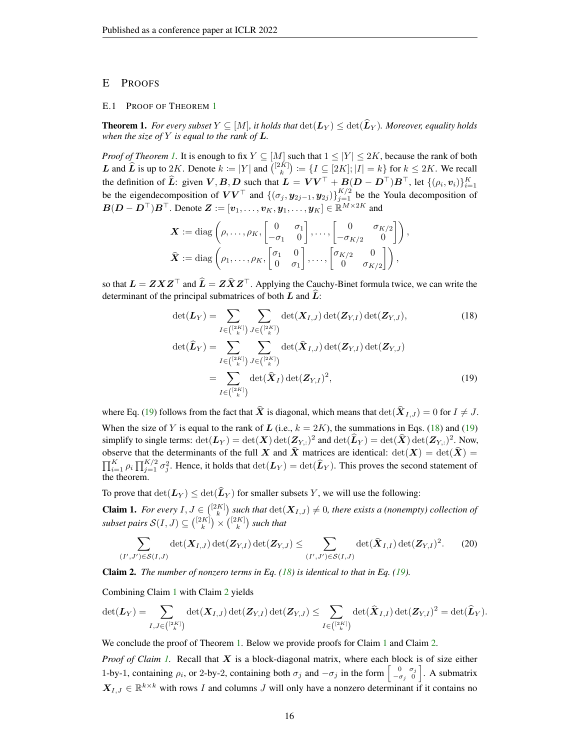### <span id="page-15-1"></span>E PROOFS

### <span id="page-15-0"></span>E.1 PROOF OF THEOREM [1](#page-4-2)

**Theorem 1.** For every subset  $Y \subseteq [M]$ , it holds that  $\det(L_Y) \leq \det(\widehat{L}_Y)$ . Moreover, equality holds *when the size of* Y *is equal to the rank of* L*.*

*Proof of Theorem [1.](#page-4-2)* It is enough to fix  $Y \subseteq [M]$  such that  $1 \le |Y| \le 2K$ , because the rank of both **L** and  $\widehat{L}$  is up to 2K. Denote  $k := |Y|$  and  $\binom{[2K]}{k} := \{I \subseteq [2K]; |I| = k\}$  for  $k \le 2K$ . We recall the definition of  $\widehat{L}$ : given  $V, B, D$  such that  $L = V V^\top + B(D - D^\top)B^\top$ , let  $\{(\rho_i, v_i)\}_{i=1}^K$ be the eigendecomposition of  $VV^\top$  and  $\{(\sigma_j, y_{2j-1}, y_{2j})\}_{j=1}^{K/2}$  be the Youla decomposition of  $B(D - D^{\top})B^{\top}$ . Denote  $\boldsymbol{Z} := [\boldsymbol{v}_1, \dots, \boldsymbol{v}_K, \boldsymbol{y}_1, \dots, \boldsymbol{y}_K] \in \mathbb{R}^{M \times 2K}$  and

$$
\mathbf{X} := \text{diag}\left(\rho, \ldots, \rho_K, \begin{bmatrix} 0 & \sigma_1 \\ -\sigma_1 & 0 \end{bmatrix}, \ldots, \begin{bmatrix} 0 & \sigma_{K/2} \\ -\sigma_{K/2} & 0 \end{bmatrix}\right),
$$

$$
\widehat{\mathbf{X}} := \text{diag}\left(\rho_1, \ldots, \rho_K, \begin{bmatrix} \sigma_1 & 0 \\ 0 & \sigma_1 \end{bmatrix}, \ldots, \begin{bmatrix} \sigma_{K/2} & 0 \\ 0 & \sigma_{K/2} \end{bmatrix}\right),
$$

so that  $L = ZXZ^{\top}$  and  $\hat{L} = Z\hat{X}Z^{\top}$ . Applying the Cauchy-Binet formula twice, we can write the determinant of the principal submatrices of both  $\hat{L}$  and  $\hat{L}$ :

<span id="page-15-3"></span><span id="page-15-2"></span>
$$
\det(\mathbf{L}_{Y}) = \sum_{I \in \binom{[2K]}{k}} \sum_{J \in \binom{[2K]}{k}} \det(\mathbf{X}_{I,J}) \det(\mathbf{Z}_{Y,I}) \det(\mathbf{Z}_{Y,J}),
$$
(18)  

$$
\det(\widehat{\mathbf{L}}_{Y}) = \sum_{I \in \binom{[2K]}{k}} \sum_{J \in \binom{[2K]}{k}} \det(\widehat{\mathbf{X}}_{I,J}) \det(\mathbf{Z}_{Y,I}) \det(\mathbf{Z}_{Y,J})
$$

$$
= \sum_{I \in \binom{[2K]}{k}} \det(\widehat{\mathbf{X}}_{I}) \det(\mathbf{Z}_{Y,I})^{2},
$$
(19)

where Eq. [\(19\)](#page-15-2) follows from the fact that  $\hat{\mathbf{X}}$  is diagonal, which means that  $\det(\hat{\mathbf{X}}_{I,J}) = 0$  for  $I \neq J$ . When the size of Y is equal to the rank of L (i.e.,  $k = 2K$ ), the summations in Eqs. [\(18\)](#page-15-3) and [\(19\)](#page-15-2) simplify to single terms:  $\det(L_Y) = \det(X) \det(Z_{Y,:})^2$ K), the summations in Eqs. (18) a<br>and det( $\hat{\mathbf{L}}_Y$ ) = det( $\hat{\mathbf{X}}$ ) det( $\mathbf{Z}_{Y,:}$ ) 2 . Now, observe that the determinants of the full X and  $\hat{X}$  matrices are identical:  $det(X) = det(\hat{X}) =$  $\prod_{i=1}^K \rho_i \prod_{j=1}^{K/2} \sigma_j^2$ . Hence, it holds that  $\det(L_Y) = \det(\widehat{L}_Y)$ . This proves the second statement of the theorem.

To prove that  $\det(L_Y) \leq \det(\widehat{L}_Y)$  for smaller subsets Y, we will use the following:

<span id="page-15-4"></span>**Claim 1.** For every  $I, J \in \binom{[2K]}{k}$  such that  $\det(X_{I,J}) \neq 0$ , there exists a (nonempty) collection of subset pairs  $\mathcal{S}(I,J) \subseteq \binom{[2K]}{k} \times \binom{[2K]}{k}$  such that

$$
\sum_{(I',J')\in\mathcal{S}(I,J)}\det(\mathbf{X}_{I,J})\det(\mathbf{Z}_{Y,I})\det(\mathbf{Z}_{Y,J})\leq \sum_{(I',J')\in\mathcal{S}(I,J)}\det(\widehat{\mathbf{X}}_{I,I})\det(\mathbf{Z}_{Y,I})^2.
$$
 (20)

<span id="page-15-5"></span>Claim 2. *The number of nonzero terms in Eq. [\(18\)](#page-15-3) is identical to that in Eq. [\(19\)](#page-15-2).*

Combining Claim [1](#page-15-4) with Claim [2](#page-15-5) yields

$$
\det({\boldsymbol{L}}_Y)=\sum_{I,J\in\binom{[2K]}{k}}\det({\boldsymbol{X}}_{I,J})\det({\boldsymbol{Z}}_{Y,I})\det({\boldsymbol{Z}}_{Y,J})\leq \sum_{I\in\binom{[2K]}{k}}\det(\widehat{{\boldsymbol{X}}}_{I,I})\det({\boldsymbol{Z}}_{Y,I})^2=\det(\widehat{{\boldsymbol{L}}}_Y).
$$

We conclude the proof of Theorem [1.](#page-4-2) Below we provide proofs for Claim [1](#page-15-4) and Claim [2.](#page-15-5)

*Proof of Claim [1.](#page-15-4)* Recall that X is a block-diagonal matrix, where each block is of size either 1-by-1, containing  $\rho_i$ , or 2-by-2, containing both  $\sigma_j$  and  $-\sigma_j$  in the form  $\begin{bmatrix} 0 & \sigma_j \\ -\sigma_j & 0 \end{bmatrix}$ . A submatrix  $X_{I,J} \in \mathbb{R}^{k \times k}$  with rows I and columns J will only have a nonzero determinant if it contains no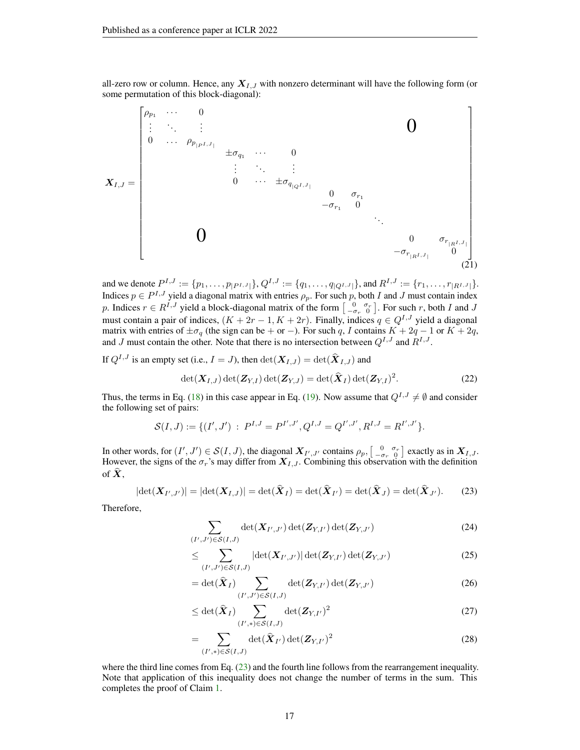all-zero row or column. Hence, any  $X_{I,J}$  with nonzero determinant will have the following form (or some permutation of this block-diagonal):

XI,J = ρp<sup>1</sup> · · · 0 . . . . . . . . . 0 0 . . . ρp|<sup>P</sup> I,J <sup>|</sup> ±σq<sup>1</sup> · · · 0 . . . . . . . . . 0 · · · ±σq|QI,J <sup>|</sup> 0 σr<sup>1</sup> −σr<sup>1</sup> 0 . . . 0 <sup>0</sup> <sup>σ</sup>r|RI,J <sup>|</sup> −σr|RI,J <sup>|</sup> 0 (21)

and we denote  $P^{I,J} := \{p_1, \ldots, p_{|P^{I,J}|}\}, Q^{I,J} := \{q_1, \ldots, q_{|Q^{I,J}|}\}, \text{and } R^{I,J} := \{r_1, \ldots, r_{|R^{I,J}|}\}.$ Indices  $p \in P^{I,J}$  yield a diagonal matrix with entries  $\rho_p$ . For such p, both I and J must contain index p. Indices  $r \in R^{I,J}$  yield a block-diagonal matrix of the form  $\begin{bmatrix} 0 & \sigma_r \\ -\sigma_r & 0 \end{bmatrix}$ . For such r, both I and J must contain a pair of indices,  $(K + 2r - 1, K + 2r)$ . Finally, indices  $q \in Q^{I,J}$  yield a diagonal matrix with entries of  $\pm \sigma_q$  (the sign can be + or −). For such q, I contains  $K + 2q - 1$  or  $K + 2q$ , and J must contain the other. Note that there is no intersection between  $Q^{I,J}$  and  $R^{I,J}$ .

If  $Q^{I,J}$  is an empty set (i.e.,  $I = J$ ), then  $\det(\mathbf{X}_{I,J}) = \det(\hat{\mathbf{X}}_{I,J})$  and

$$
\det(\mathbf{X}_{I,J})\det(\mathbf{Z}_{Y,I})\det(\mathbf{Z}_{Y,J})=\det(\hat{\mathbf{X}}_I)\det(\mathbf{Z}_{Y,I})^2.
$$
\n(22)

Thus, the terms in Eq. [\(18\)](#page-15-3) in this case appear in Eq. [\(19\)](#page-15-2). Now assume that  $Q^{I,J} \neq \emptyset$  and consider the following set of pairs:

$$
\mathcal{S}(I,J) := \{ (I',J') \; : \; P^{I,J} = P^{I',J'}, Q^{I,J} = Q^{I',J'}, R^{I,J} = R^{I',J'} \}.
$$

In other words, for  $(I', J') \in S(I, J)$ , the diagonal  $X_{I', J'}$  contains  $\rho_p$ ,  $\begin{bmatrix} 0 & \sigma_r \\ -\sigma_r & 0 \end{bmatrix}$  exactly as in  $X_{I, J}$ . However, the signs of the  $\sigma_r$ 's may differ from  $X_{I,J}$ . Combining this observation with the definition of  $\hat{X}$ ,

$$
|\det(\mathbf{X}_{I',J'})| = |\det(\mathbf{X}_{I,J})| = \det(\widehat{\mathbf{X}}_I) = \det(\widehat{\mathbf{X}}_{I'}) = \det(\widehat{\mathbf{X}}_J) = \det(\widehat{\mathbf{X}}_{J'}).
$$
 (23)

Therefore,

<span id="page-16-0"></span>
$$
\sum_{(I',J')\in\mathcal{S}(I,J)} \det(\boldsymbol{X}_{I',J'}) \det(\boldsymbol{Z}_{Y,I'}) \det(\boldsymbol{Z}_{Y,J'})
$$
\n(24)

$$
\leq \sum_{(I',J')\in\mathcal{S}(I,J)} \left| \det(\boldsymbol{X}_{I',J'}) \right| \det(\boldsymbol{Z}_{Y,I'}) \det(\boldsymbol{Z}_{Y,J'}) \tag{25}
$$

$$
= \det(\widehat{\mathbf{X}}_I) \sum_{(I',J') \in \mathcal{S}(I,J)} \det(\mathbf{Z}_{Y,I'}) \det(\mathbf{Z}_{Y,J'})
$$
(26)

$$
\leq \det(\widehat{\mathbf{X}}_I) \sum_{(I',\ast) \in \mathcal{S}(I,J)} \det(\mathbf{Z}_{Y,I'})^2 \tag{27}
$$

$$
= \sum_{(I',\ast)\in\mathcal{S}(I,J)}^{(I',\ast)\in\mathcal{S}(I,J)} \det(\widehat{\mathbf{X}}_{I'}) \det(\mathbf{Z}_{Y,I'})^2
$$
\n(28)

where the third line comes from Eq. [\(23\)](#page-16-0) and the fourth line follows from the rearrangement inequality. Note that application of this inequality does not change the number of terms in the sum. This completes the proof of Claim [1.](#page-15-4)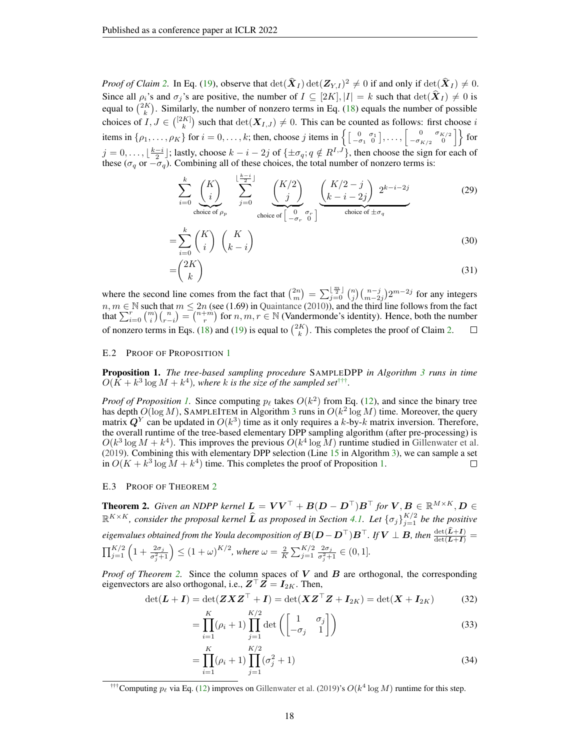*Proof of Claim [2.](#page-15-5)* In Eq. [\(19\)](#page-15-2), observe that  $\det(\hat{\boldsymbol{X}}_I) \det(\boldsymbol{Z}_{Y,I})^2 \neq 0$  if and only if  $\det(\hat{\boldsymbol{X}}_I) \neq 0$ . Proof of Claim 2. In Eq. (19), observe that  $\det(\mathbf{X}_I) \det(\mathbf{Z}_{Y,I})^2 \neq 0$  if and only if  $\det(\mathbf{X}_I) \neq 0$ .<br>Since all  $\rho_i$ 's and  $\sigma_j$ 's are positive, the number of  $I \subseteq [2K], |I| = k$  such that  $\det(\hat{\mathbf{X}}_I) \neq 0$  is equal to  $\binom{2K}{k}$ . Similarly, the number of nonzero terms in Eq. [\(18\)](#page-15-3) equals the number of possible choices of  $I, J \in \binom{[2K]}{k}$  such that  $\det(\mathbf{X}_{I,J}) \neq 0$ . This can be counted as follows: first choose i items in  $\{ \rho_1, \ldots, \rho_K \}$  for  $i = 0, \ldots, k$ ; then, choose j items in  $\left\{ \begin{bmatrix} 0 & \sigma_1 \\ -\sigma_1 & 0 \end{bmatrix}, \ldots, \begin{bmatrix} 0 & \sigma_{K/2} \\ -\sigma_{K/2} & 0 \end{bmatrix} \right\}$  $\begin{bmatrix} 0 & \sigma_{K/2} \\ -\sigma_{K/2} & 0 \end{bmatrix}$  for  $j = 0, \ldots, \lfloor \frac{k-i}{2} \rfloor$ ; lastly, choose  $k - i - 2j$  of  $\{\pm \sigma_q; q \notin R^{I,J}\}$ , then choose the sign for each of these ( $\sigma_q$  or  $-\sigma_q$ ). Combining all of these choices, the total number of nonzero terms is:

$$
\sum_{i=0}^{k} \underbrace{\binom{K}{i}}_{\text{choice of } \rho_p} \sum_{j=0}^{\lfloor \frac{k-i}{2} \rfloor} \underbrace{\binom{K/2}{j}}_{\text{choice of } \lfloor \frac{0}{-\sigma_r} \rfloor} \underbrace{\binom{K/2-j}{k-i-2j}}_{\text{choice of } \pm \sigma_q} \underbrace{2^{k-i-2j}}_{\text{choice of } \pm \sigma_q}
$$
 (29)

$$
=\sum_{i=0}^{k} \binom{K}{i} \binom{K}{k-i}
$$
(30)  

$$
\binom{2K}{}
$$

$$
=\binom{2K}{k} \tag{31}
$$

where the second line comes from the fact that  $\binom{2n}{m} = \sum_{j=0}^{\lfloor \frac{m}{2} \rfloor} \binom{n}{j} \binom{n-j}{m-2j} 2^{m-2j}$  for any integers *n*, *m* ∈ N such that *m* ≤ 2*n* (see (1.69) in [Quaintance](#page-10-19) [\(2010\)](#page-10-19)), and the third line follows from the fact that  $\sum_{i=0}^{r} {m \choose i} {n \choose r-i} = {n+m \choose r}$  for *n*, *m*, *r* ∈ N (Vandermonde's identity). Hence, both the number of nonzero terms in Eqs. [\(18\)](#page-15-3) and [\(19\)](#page-15-2) is equal to  $\binom{2K}{k}$ . This completes the proof of Claim [2.](#page-15-5)  $\Box$ 

### <span id="page-17-0"></span>E.2 PROOF OF PROPOSITION [1](#page-5-2)

Proposition 1. *The tree-based sampling procedure* SAMPLEDPP *in Algorithm [3](#page-5-1) runs in time*  $O(\tilde{K} + k^3 \log M + k^4)$ , where k is the size of the sampled set<sup>[†††](#page-17-2)</sup>.

*Proof of Proposition [1.](#page-5-2)* Since computing  $p_{\ell}$  takes  $O(k^2)$  from Eq. [\(12\)](#page-5-4), and since the binary tree has depth  $O(\log M)$ , SAMPLEITEM in Algorithm [3](#page-5-1) runs in  $O(k^2 \log M)$  time. Moreover, the query matrix  $Q^Y$  can be updated in  $O(k^3)$  time as it only requires a k-by-k matrix inversion. Therefore, the overall runtime of the tree-based elementary DPP sampling algorithm (after pre-processing) is  $O(k^3 \log M + k^4)$ . This improves the previous  $O(k^4 \log M)$  runtime studied in [Gillenwater et al.](#page-10-9) [\(2019\)](#page-10-9). Combining this with elementary DPP selection (Line [15](#page-5-5) in Algorithm [3\)](#page-5-1), we can sample a set in  $O(K + k^3 \log M + k^4)$  time. This completes the proof of Proposition [1.](#page-5-2) П

### <span id="page-17-1"></span>E.3 PROOF OF THEOREM [2](#page-6-1)

**Theorem 2.** *Given an NDPP kernel*  $\mathbf{L} = \mathbf{V}\mathbf{V}^{\top} + \mathbf{B}(\mathbf{D} - \mathbf{D}^{\top})\mathbf{B}^{\top}$  *for*  $\mathbf{V}, \mathbf{B} \in \mathbb{R}^{M \times K}, \mathbf{D} \in$  $\mathbb{R}^{K\times K}$ , consider the proposal kernel  $\widehat{L}$  as proposed in Section [4.1.](#page-3-5) Let  $\{\sigma_j\}_{j=1}^{K/2}$  be the positive *eigenvalues obtained from the Youla decomposition of*  $B(D-D^\top)B^\top$ *. If*  $V\perp B$ *, then*  $\frac{\det(L+I)}{\det(L+I)}=$  $\prod_{j=1}^{K/2}\left(1+\frac{2\sigma_j}{\sigma_j^2+1}\right)\leq \left(1+\omega\right)^{K/2}\!,$  where  $\omega=\frac{2}{K}\sum_{j=1}^{K/2}\frac{2\sigma_j}{\sigma_j^2+1}$  $\frac{2\sigma_j}{\sigma_j^2+1} \in (0,1].$ 

*Proof of Theorem [2.](#page-6-1)* Since the column spaces of  $V$  and  $B$  are orthogonal, the corresponding eigenvectors are also orthogonal, i.e.,  $Z^{\top}Z = I_{2K}$ . Then,

$$
\det(\boldsymbol{L} + \boldsymbol{I}) = \det(\boldsymbol{Z}\boldsymbol{X}\boldsymbol{Z}^{\top} + \boldsymbol{I}) = \det(\boldsymbol{X}\boldsymbol{Z}^{\top}\boldsymbol{Z} + \boldsymbol{I}_{2K}) = \det(\boldsymbol{X} + \boldsymbol{I}_{2K})
$$
(32)

$$
= \prod_{i=1}^{K} (\rho_i + 1) \prod_{j=1}^{K/2} \det \left( \begin{bmatrix} 1 & \sigma_j \\ -\sigma_j & 1 \end{bmatrix} \right)
$$
 (33)

<span id="page-17-3"></span>
$$
= \prod_{i=1}^{K} (\rho_i + 1) \prod_{j=1}^{K/2} (\sigma_j^2 + 1)
$$
\n(34)

<span id="page-17-2"></span><sup>&</sup>lt;sup>†††</sup>Computing  $p_\ell$  via Eq. [\(12\)](#page-5-4) improves on [Gillenwater et al.](#page-10-9) [\(2019\)](#page-10-9)'s  $O(k^4 \log M)$  runtime for this step.